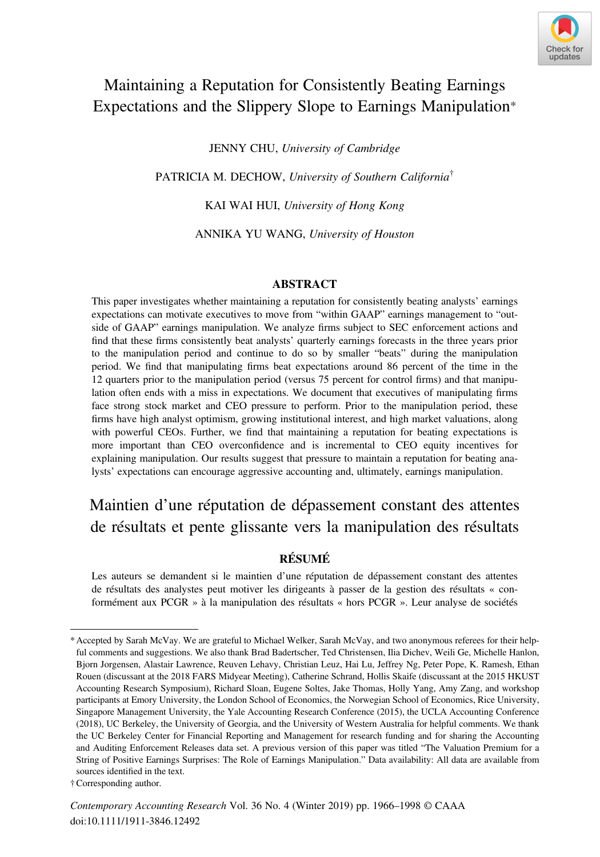

# Maintaining a Reputation for Consistently Beating Earnings Expectations and the Slippery Slope to Earnings Manipulation\*

JENNY CHU, University of Cambridge

PATRICIA M. DECHOW, University of Southern California<sup>†</sup>

KAI WAI HUI, University of Hong Kong

ANNIKA YU WANG, University of Houston

# ABSTRACT

This paper investigates whether maintaining a reputation for consistently beating analysts' earnings expectations can motivate executives to move from "within GAAP" earnings management to "outside of GAAP" earnings manipulation. We analyze firms subject to SEC enforcement actions and find that these firms consistently beat analysts' quarterly earnings forecasts in the three years prior to the manipulation period and continue to do so by smaller "beats" during the manipulation period. We find that manipulating firms beat expectations around 86 percent of the time in the 12 quarters prior to the manipulation period (versus 75 percent for control firms) and that manipulation often ends with a miss in expectations. We document that executives of manipulating firms face strong stock market and CEO pressure to perform. Prior to the manipulation period, these firms have high analyst optimism, growing institutional interest, and high market valuations, along with powerful CEOs. Further, we find that maintaining a reputation for beating expectations is more important than CEO overconfidence and is incremental to CEO equity incentives for explaining manipulation. Our results suggest that pressure to maintain a reputation for beating analysts' expectations can encourage aggressive accounting and, ultimately, earnings manipulation.

# Maintien d'une réputation de dépassement constant des attentes de résultats et pente glissante vers la manipulation des résultats

# RÉSUMÉ

Les auteurs se demandent si le maintien d'une réputation de dépassement constant des attentes de résultats des analystes peut motiver les dirigeants à passer de la gestion des résultats « conformément aux PCGR » à la manipulation des résultats « hors PCGR ». Leur analyse de sociétés

†Corresponding author.

<sup>\*</sup>Accepted by Sarah McVay. We are grateful to Michael Welker, Sarah McVay, and two anonymous referees for their helpful comments and suggestions. We also thank Brad Badertscher, Ted Christensen, Ilia Dichev, Weili Ge, Michelle Hanlon, Bjorn Jorgensen, Alastair Lawrence, Reuven Lehavy, Christian Leuz, Hai Lu, Jeffrey Ng, Peter Pope, K. Ramesh, Ethan Rouen (discussant at the 2018 FARS Midyear Meeting), Catherine Schrand, Hollis Skaife (discussant at the 2015 HKUST Accounting Research Symposium), Richard Sloan, Eugene Soltes, Jake Thomas, Holly Yang, Amy Zang, and workshop participants at Emory University, the London School of Economics, the Norwegian School of Economics, Rice University, Singapore Management University, the Yale Accounting Research Conference (2015), the UCLA Accounting Conference (2018), UC Berkeley, the University of Georgia, and the University of Western Australia for helpful comments. We thank the UC Berkeley Center for Financial Reporting and Management for research funding and for sharing the Accounting and Auditing Enforcement Releases data set. A previous version of this paper was titled "The Valuation Premium for a String of Positive Earnings Surprises: The Role of Earnings Manipulation." Data availability: All data are available from sources identified in the text.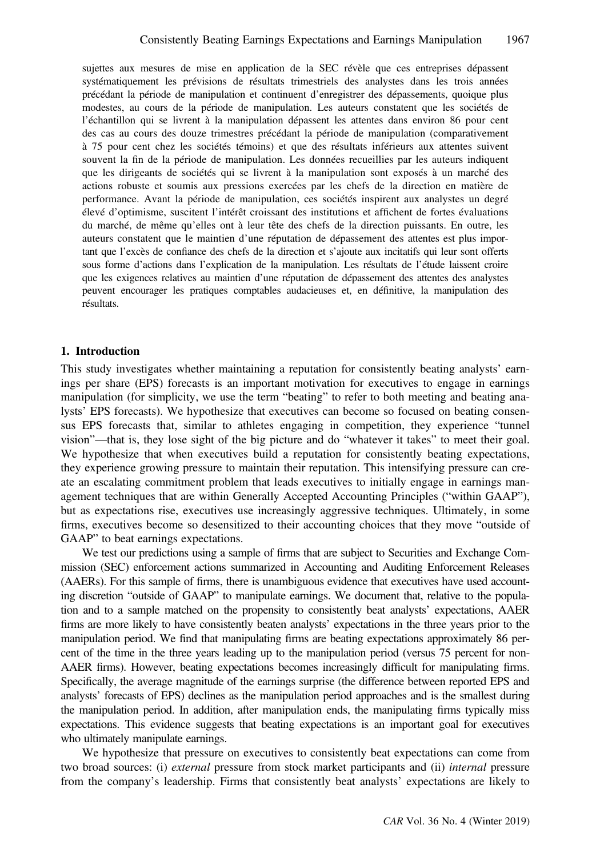sujettes aux mesures de mise en application de la SEC révèle que ces entreprises dépassent systématiquement les prévisions de résultats trimestriels des analystes dans les trois années précédant la période de manipulation et continuent d'enregistrer des dépassements, quoique plus modestes, au cours de la période de manipulation. Les auteurs constatent que les sociétés de l'échantillon qui se livrent à la manipulation dépassent les attentes dans environ 86 pour cent des cas au cours des douze trimestres précédant la période de manipulation (comparativement à 75 pour cent chez les sociétés témoins) et que des résultats inférieurs aux attentes suivent souvent la fin de la période de manipulation. Les données recueillies par les auteurs indiquent que les dirigeants de sociétés qui se livrent à la manipulation sont exposés à un marché des actions robuste et soumis aux pressions exercées par les chefs de la direction en matière de performance. Avant la période de manipulation, ces sociétés inspirent aux analystes un degré élevé d'optimisme, suscitent l'intérêt croissant des institutions et affichent de fortes évaluations du marché, de même qu'elles ont à leur tête des chefs de la direction puissants. En outre, les auteurs constatent que le maintien d'une réputation de dépassement des attentes est plus important que l'excès de confiance des chefs de la direction et s'ajoute aux incitatifs qui leur sont offerts sous forme d'actions dans l'explication de la manipulation. Les résultats de l'étude laissent croire que les exigences relatives au maintien d'une réputation de dépassement des attentes des analystes peuvent encourager les pratiques comptables audacieuses et, en définitive, la manipulation des résultats.

#### 1. Introduction

This study investigates whether maintaining a reputation for consistently beating analysts' earnings per share (EPS) forecasts is an important motivation for executives to engage in earnings manipulation (for simplicity, we use the term "beating" to refer to both meeting and beating analysts' EPS forecasts). We hypothesize that executives can become so focused on beating consensus EPS forecasts that, similar to athletes engaging in competition, they experience "tunnel vision"—that is, they lose sight of the big picture and do "whatever it takes" to meet their goal. We hypothesize that when executives build a reputation for consistently beating expectations, they experience growing pressure to maintain their reputation. This intensifying pressure can create an escalating commitment problem that leads executives to initially engage in earnings management techniques that are within Generally Accepted Accounting Principles ("within GAAP"), but as expectations rise, executives use increasingly aggressive techniques. Ultimately, in some firms, executives become so desensitized to their accounting choices that they move "outside of GAAP" to beat earnings expectations.

We test our predictions using a sample of firms that are subject to Securities and Exchange Commission (SEC) enforcement actions summarized in Accounting and Auditing Enforcement Releases (AAERs). For this sample of firms, there is unambiguous evidence that executives have used accounting discretion "outside of GAAP" to manipulate earnings. We document that, relative to the population and to a sample matched on the propensity to consistently beat analysts' expectations, AAER firms are more likely to have consistently beaten analysts' expectations in the three years prior to the manipulation period. We find that manipulating firms are beating expectations approximately 86 percent of the time in the three years leading up to the manipulation period (versus 75 percent for non-AAER firms). However, beating expectations becomes increasingly difficult for manipulating firms. Specifically, the average magnitude of the earnings surprise (the difference between reported EPS and analysts' forecasts of EPS) declines as the manipulation period approaches and is the smallest during the manipulation period. In addition, after manipulation ends, the manipulating firms typically miss expectations. This evidence suggests that beating expectations is an important goal for executives who ultimately manipulate earnings.

We hypothesize that pressure on executives to consistently beat expectations can come from two broad sources: (i) *external* pressure from stock market participants and (ii) *internal* pressure from the company's leadership. Firms that consistently beat analysts' expectations are likely to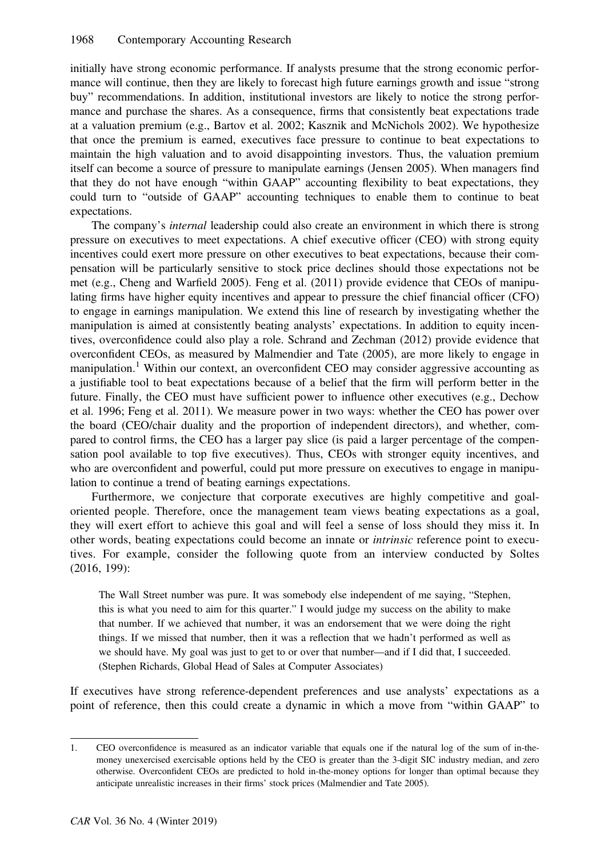initially have strong economic performance. If analysts presume that the strong economic performance will continue, then they are likely to forecast high future earnings growth and issue "strong buy" recommendations. In addition, institutional investors are likely to notice the strong performance and purchase the shares. As a consequence, firms that consistently beat expectations trade at a valuation premium (e.g., Bartov et al. 2002; Kasznik and McNichols 2002). We hypothesize that once the premium is earned, executives face pressure to continue to beat expectations to maintain the high valuation and to avoid disappointing investors. Thus, the valuation premium itself can become a source of pressure to manipulate earnings (Jensen 2005). When managers find that they do not have enough "within GAAP" accounting flexibility to beat expectations, they could turn to "outside of GAAP" accounting techniques to enable them to continue to beat expectations.

The company's internal leadership could also create an environment in which there is strong pressure on executives to meet expectations. A chief executive officer (CEO) with strong equity incentives could exert more pressure on other executives to beat expectations, because their compensation will be particularly sensitive to stock price declines should those expectations not be met (e.g., Cheng and Warfield 2005). Feng et al. (2011) provide evidence that CEOs of manipulating firms have higher equity incentives and appear to pressure the chief financial officer (CFO) to engage in earnings manipulation. We extend this line of research by investigating whether the manipulation is aimed at consistently beating analysts' expectations. In addition to equity incentives, overconfidence could also play a role. Schrand and Zechman (2012) provide evidence that overconfident CEOs, as measured by Malmendier and Tate (2005), are more likely to engage in manipulation.<sup>1</sup> Within our context, an overconfident CEO may consider aggressive accounting as a justifiable tool to beat expectations because of a belief that the firm will perform better in the future. Finally, the CEO must have sufficient power to influence other executives (e.g., Dechow et al. 1996; Feng et al. 2011). We measure power in two ways: whether the CEO has power over the board (CEO/chair duality and the proportion of independent directors), and whether, compared to control firms, the CEO has a larger pay slice (is paid a larger percentage of the compensation pool available to top five executives). Thus, CEOs with stronger equity incentives, and who are overconfident and powerful, could put more pressure on executives to engage in manipulation to continue a trend of beating earnings expectations.

Furthermore, we conjecture that corporate executives are highly competitive and goaloriented people. Therefore, once the management team views beating expectations as a goal, they will exert effort to achieve this goal and will feel a sense of loss should they miss it. In other words, beating expectations could become an innate or intrinsic reference point to executives. For example, consider the following quote from an interview conducted by Soltes (2016, 199):

The Wall Street number was pure. It was somebody else independent of me saying, "Stephen, this is what you need to aim for this quarter." I would judge my success on the ability to make that number. If we achieved that number, it was an endorsement that we were doing the right things. If we missed that number, then it was a reflection that we hadn't performed as well as we should have. My goal was just to get to or over that number—and if I did that, I succeeded. (Stephen Richards, Global Head of Sales at Computer Associates)

If executives have strong reference-dependent preferences and use analysts' expectations as a point of reference, then this could create a dynamic in which a move from "within GAAP" to

<sup>1.</sup> CEO overconfidence is measured as an indicator variable that equals one if the natural log of the sum of in-themoney unexercised exercisable options held by the CEO is greater than the 3-digit SIC industry median, and zero otherwise. Overconfident CEOs are predicted to hold in-the-money options for longer than optimal because they anticipate unrealistic increases in their firms' stock prices (Malmendier and Tate 2005).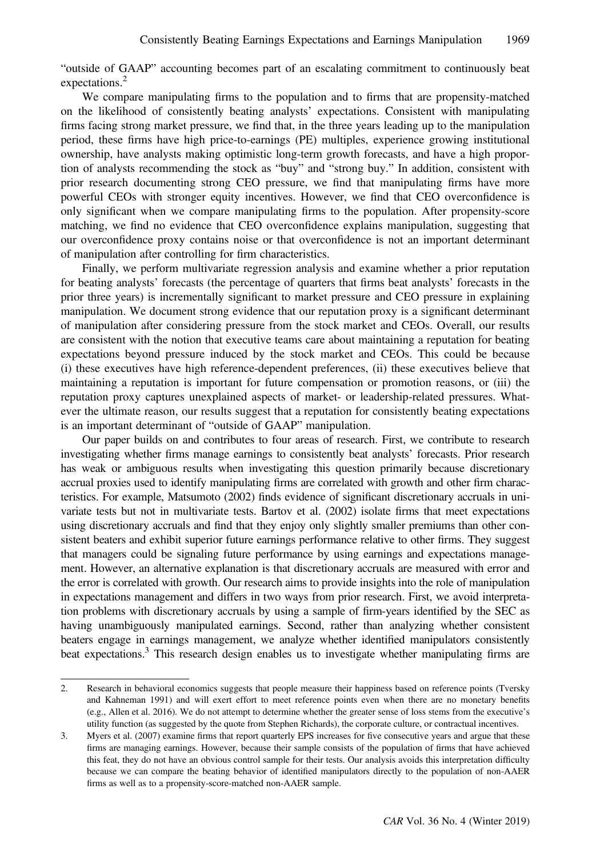"outside of GAAP" accounting becomes part of an escalating commitment to continuously beat expectations.<sup>2</sup>

We compare manipulating firms to the population and to firms that are propensity-matched on the likelihood of consistently beating analysts' expectations. Consistent with manipulating firms facing strong market pressure, we find that, in the three years leading up to the manipulation period, these firms have high price-to-earnings (PE) multiples, experience growing institutional ownership, have analysts making optimistic long-term growth forecasts, and have a high proportion of analysts recommending the stock as "buy" and "strong buy." In addition, consistent with prior research documenting strong CEO pressure, we find that manipulating firms have more powerful CEOs with stronger equity incentives. However, we find that CEO overconfidence is only significant when we compare manipulating firms to the population. After propensity-score matching, we find no evidence that CEO overconfidence explains manipulation, suggesting that our overconfidence proxy contains noise or that overconfidence is not an important determinant of manipulation after controlling for firm characteristics.

Finally, we perform multivariate regression analysis and examine whether a prior reputation for beating analysts' forecasts (the percentage of quarters that firms beat analysts' forecasts in the prior three years) is incrementally significant to market pressure and CEO pressure in explaining manipulation. We document strong evidence that our reputation proxy is a significant determinant of manipulation after considering pressure from the stock market and CEOs. Overall, our results are consistent with the notion that executive teams care about maintaining a reputation for beating expectations beyond pressure induced by the stock market and CEOs. This could be because (i) these executives have high reference-dependent preferences, (ii) these executives believe that maintaining a reputation is important for future compensation or promotion reasons, or (iii) the reputation proxy captures unexplained aspects of market- or leadership-related pressures. Whatever the ultimate reason, our results suggest that a reputation for consistently beating expectations is an important determinant of "outside of GAAP" manipulation.

Our paper builds on and contributes to four areas of research. First, we contribute to research investigating whether firms manage earnings to consistently beat analysts' forecasts. Prior research has weak or ambiguous results when investigating this question primarily because discretionary accrual proxies used to identify manipulating firms are correlated with growth and other firm characteristics. For example, Matsumoto (2002) finds evidence of significant discretionary accruals in univariate tests but not in multivariate tests. Bartov et al. (2002) isolate firms that meet expectations using discretionary accruals and find that they enjoy only slightly smaller premiums than other consistent beaters and exhibit superior future earnings performance relative to other firms. They suggest that managers could be signaling future performance by using earnings and expectations management. However, an alternative explanation is that discretionary accruals are measured with error and the error is correlated with growth. Our research aims to provide insights into the role of manipulation in expectations management and differs in two ways from prior research. First, we avoid interpretation problems with discretionary accruals by using a sample of firm-years identified by the SEC as having unambiguously manipulated earnings. Second, rather than analyzing whether consistent beaters engage in earnings management, we analyze whether identified manipulators consistently beat expectations.<sup>3</sup> This research design enables us to investigate whether manipulating firms are

<sup>2.</sup> Research in behavioral economics suggests that people measure their happiness based on reference points (Tversky and Kahneman 1991) and will exert effort to meet reference points even when there are no monetary benefits (e.g., Allen et al. 2016). We do not attempt to determine whether the greater sense of loss stems from the executive's utility function (as suggested by the quote from Stephen Richards), the corporate culture, or contractual incentives.

<sup>3.</sup> Myers et al. (2007) examine firms that report quarterly EPS increases for five consecutive years and argue that these firms are managing earnings. However, because their sample consists of the population of firms that have achieved this feat, they do not have an obvious control sample for their tests. Our analysis avoids this interpretation difficulty because we can compare the beating behavior of identified manipulators directly to the population of non-AAER firms as well as to a propensity-score-matched non-AAER sample.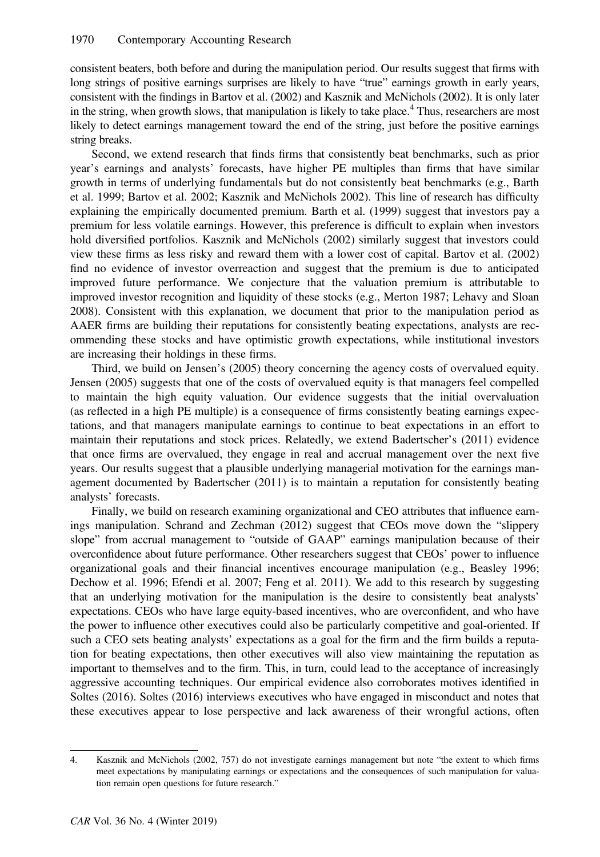consistent beaters, both before and during the manipulation period. Our results suggest that firms with long strings of positive earnings surprises are likely to have "true" earnings growth in early years, consistent with the findings in Bartov et al. (2002) and Kasznik and McNichols (2002). It is only later in the string, when growth slows, that manipulation is likely to take place.<sup>4</sup> Thus, researchers are most likely to detect earnings management toward the end of the string, just before the positive earnings string breaks.

Second, we extend research that finds firms that consistently beat benchmarks, such as prior year's earnings and analysts' forecasts, have higher PE multiples than firms that have similar growth in terms of underlying fundamentals but do not consistently beat benchmarks (e.g., Barth et al. 1999; Bartov et al. 2002; Kasznik and McNichols 2002). This line of research has difficulty explaining the empirically documented premium. Barth et al. (1999) suggest that investors pay a premium for less volatile earnings. However, this preference is difficult to explain when investors hold diversified portfolios. Kasznik and McNichols (2002) similarly suggest that investors could view these firms as less risky and reward them with a lower cost of capital. Bartov et al. (2002) find no evidence of investor overreaction and suggest that the premium is due to anticipated improved future performance. We conjecture that the valuation premium is attributable to improved investor recognition and liquidity of these stocks (e.g., Merton 1987; Lehavy and Sloan 2008). Consistent with this explanation, we document that prior to the manipulation period as AAER firms are building their reputations for consistently beating expectations, analysts are recommending these stocks and have optimistic growth expectations, while institutional investors are increasing their holdings in these firms.

Third, we build on Jensen's (2005) theory concerning the agency costs of overvalued equity. Jensen (2005) suggests that one of the costs of overvalued equity is that managers feel compelled to maintain the high equity valuation. Our evidence suggests that the initial overvaluation (as reflected in a high PE multiple) is a consequence of firms consistently beating earnings expectations, and that managers manipulate earnings to continue to beat expectations in an effort to maintain their reputations and stock prices. Relatedly, we extend Badertscher's (2011) evidence that once firms are overvalued, they engage in real and accrual management over the next five years. Our results suggest that a plausible underlying managerial motivation for the earnings management documented by Badertscher (2011) is to maintain a reputation for consistently beating analysts' forecasts.

Finally, we build on research examining organizational and CEO attributes that influence earnings manipulation. Schrand and Zechman (2012) suggest that CEOs move down the "slippery slope" from accrual management to "outside of GAAP" earnings manipulation because of their overconfidence about future performance. Other researchers suggest that CEOs' power to influence organizational goals and their financial incentives encourage manipulation (e.g., Beasley 1996; Dechow et al. 1996; Efendi et al. 2007; Feng et al. 2011). We add to this research by suggesting that an underlying motivation for the manipulation is the desire to consistently beat analysts' expectations. CEOs who have large equity-based incentives, who are overconfident, and who have the power to influence other executives could also be particularly competitive and goal-oriented. If such a CEO sets beating analysts' expectations as a goal for the firm and the firm builds a reputation for beating expectations, then other executives will also view maintaining the reputation as important to themselves and to the firm. This, in turn, could lead to the acceptance of increasingly aggressive accounting techniques. Our empirical evidence also corroborates motives identified in Soltes (2016). Soltes (2016) interviews executives who have engaged in misconduct and notes that these executives appear to lose perspective and lack awareness of their wrongful actions, often

<sup>4.</sup> Kasznik and McNichols (2002, 757) do not investigate earnings management but note "the extent to which firms meet expectations by manipulating earnings or expectations and the consequences of such manipulation for valuation remain open questions for future research."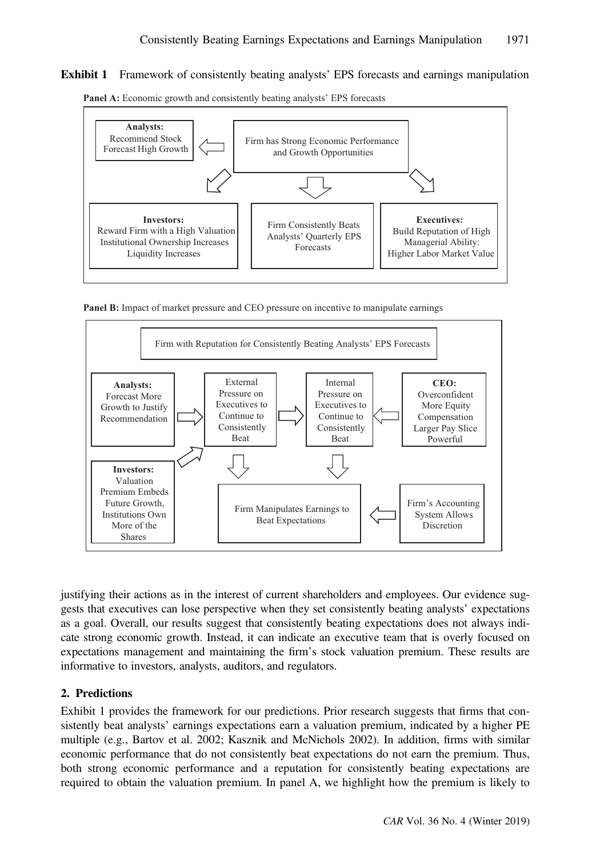## Exhibit 1 Framework of consistently beating analysts' EPS forecasts and earnings manipulation



Panel A: Economic growth and consistently beating analysts' EPS forecasts

**Panel B:** Impact of market pressure and CEO pressure on incentive to manipulate earnings



justifying their actions as in the interest of current shareholders and employees. Our evidence suggests that executives can lose perspective when they set consistently beating analysts' expectations as a goal. Overall, our results suggest that consistently beating expectations does not always indicate strong economic growth. Instead, it can indicate an executive team that is overly focused on expectations management and maintaining the firm's stock valuation premium. These results are informative to investors, analysts, auditors, and regulators.

# 2. Predictions

Exhibit 1 provides the framework for our predictions. Prior research suggests that firms that consistently beat analysts' earnings expectations earn a valuation premium, indicated by a higher PE multiple (e.g., Bartov et al. 2002; Kasznik and McNichols 2002). In addition, firms with similar economic performance that do not consistently beat expectations do not earn the premium. Thus, both strong economic performance and a reputation for consistently beating expectations are required to obtain the valuation premium. In panel A, we highlight how the premium is likely to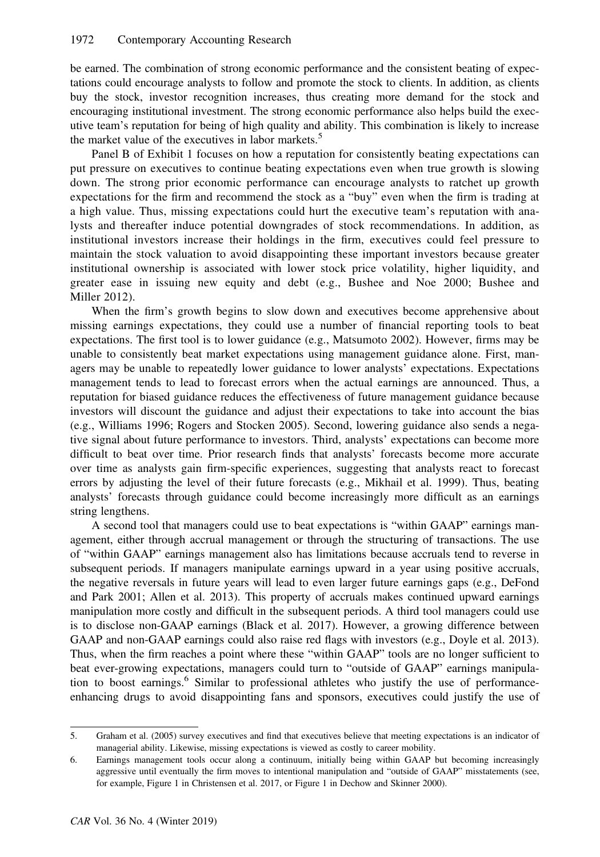be earned. The combination of strong economic performance and the consistent beating of expectations could encourage analysts to follow and promote the stock to clients. In addition, as clients buy the stock, investor recognition increases, thus creating more demand for the stock and encouraging institutional investment. The strong economic performance also helps build the executive team's reputation for being of high quality and ability. This combination is likely to increase the market value of the executives in labor markets.<sup>5</sup>

Panel B of Exhibit 1 focuses on how a reputation for consistently beating expectations can put pressure on executives to continue beating expectations even when true growth is slowing down. The strong prior economic performance can encourage analysts to ratchet up growth expectations for the firm and recommend the stock as a "buy" even when the firm is trading at a high value. Thus, missing expectations could hurt the executive team's reputation with analysts and thereafter induce potential downgrades of stock recommendations. In addition, as institutional investors increase their holdings in the firm, executives could feel pressure to maintain the stock valuation to avoid disappointing these important investors because greater institutional ownership is associated with lower stock price volatility, higher liquidity, and greater ease in issuing new equity and debt (e.g., Bushee and Noe 2000; Bushee and Miller 2012).

When the firm's growth begins to slow down and executives become apprehensive about missing earnings expectations, they could use a number of financial reporting tools to beat expectations. The first tool is to lower guidance (e.g., Matsumoto 2002). However, firms may be unable to consistently beat market expectations using management guidance alone. First, managers may be unable to repeatedly lower guidance to lower analysts' expectations. Expectations management tends to lead to forecast errors when the actual earnings are announced. Thus, a reputation for biased guidance reduces the effectiveness of future management guidance because investors will discount the guidance and adjust their expectations to take into account the bias (e.g., Williams 1996; Rogers and Stocken 2005). Second, lowering guidance also sends a negative signal about future performance to investors. Third, analysts' expectations can become more difficult to beat over time. Prior research finds that analysts' forecasts become more accurate over time as analysts gain firm-specific experiences, suggesting that analysts react to forecast errors by adjusting the level of their future forecasts (e.g., Mikhail et al. 1999). Thus, beating analysts' forecasts through guidance could become increasingly more difficult as an earnings string lengthens.

A second tool that managers could use to beat expectations is "within GAAP" earnings management, either through accrual management or through the structuring of transactions. The use of "within GAAP" earnings management also has limitations because accruals tend to reverse in subsequent periods. If managers manipulate earnings upward in a year using positive accruals, the negative reversals in future years will lead to even larger future earnings gaps (e.g., DeFond and Park 2001; Allen et al. 2013). This property of accruals makes continued upward earnings manipulation more costly and difficult in the subsequent periods. A third tool managers could use is to disclose non-GAAP earnings (Black et al. 2017). However, a growing difference between GAAP and non-GAAP earnings could also raise red flags with investors (e.g., Doyle et al. 2013). Thus, when the firm reaches a point where these "within GAAP" tools are no longer sufficient to beat ever-growing expectations, managers could turn to "outside of GAAP" earnings manipulation to boost earnings.<sup>6</sup> Similar to professional athletes who justify the use of performanceenhancing drugs to avoid disappointing fans and sponsors, executives could justify the use of

<sup>5.</sup> Graham et al. (2005) survey executives and find that executives believe that meeting expectations is an indicator of managerial ability. Likewise, missing expectations is viewed as costly to career mobility.

<sup>6.</sup> Earnings management tools occur along a continuum, initially being within GAAP but becoming increasingly aggressive until eventually the firm moves to intentional manipulation and "outside of GAAP" misstatements (see, for example, Figure 1 in Christensen et al. 2017, or Figure 1 in Dechow and Skinner 2000).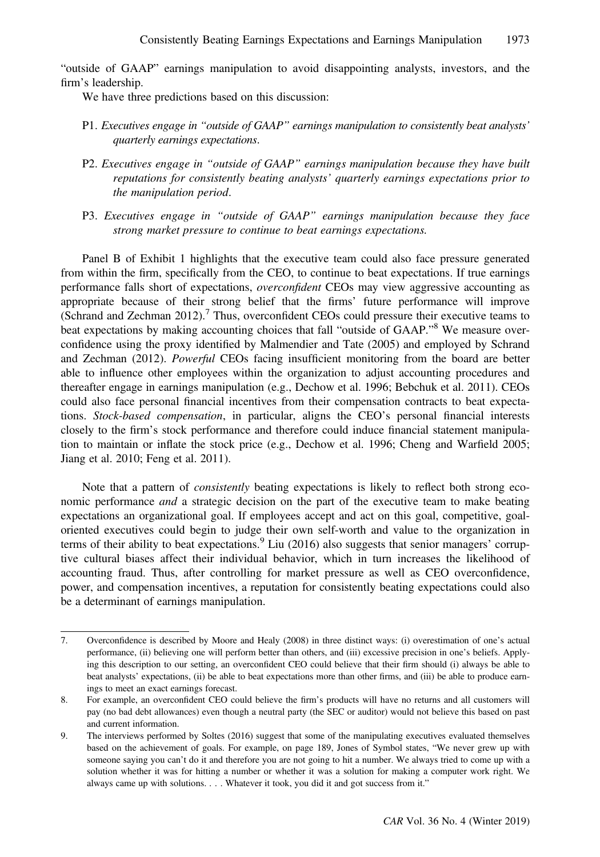"outside of GAAP" earnings manipulation to avoid disappointing analysts, investors, and the firm's leadership.

We have three predictions based on this discussion:

- P1. Executives engage in "outside of GAAP" earnings manipulation to consistently beat analysts' quarterly earnings expectations.
- P2. Executives engage in "outside of GAAP" earnings manipulation because they have built reputations for consistently beating analysts' quarterly earnings expectations prior to the manipulation period.
- P3. Executives engage in "outside of GAAP" earnings manipulation because they face strong market pressure to continue to beat earnings expectations.

Panel B of Exhibit 1 highlights that the executive team could also face pressure generated from within the firm, specifically from the CEO, to continue to beat expectations. If true earnings performance falls short of expectations, overconfident CEOs may view aggressive accounting as appropriate because of their strong belief that the firms' future performance will improve (Schrand and Zechman  $2012$ ).<sup>7</sup> Thus, overconfident CEOs could pressure their executive teams to beat expectations by making accounting choices that fall "outside of GAAP."<sup>8</sup> We measure overconfidence using the proxy identified by Malmendier and Tate (2005) and employed by Schrand and Zechman (2012). Powerful CEOs facing insufficient monitoring from the board are better able to influence other employees within the organization to adjust accounting procedures and thereafter engage in earnings manipulation (e.g., Dechow et al. 1996; Bebchuk et al. 2011). CEOs could also face personal financial incentives from their compensation contracts to beat expectations. Stock-based compensation, in particular, aligns the CEO's personal financial interests closely to the firm's stock performance and therefore could induce financial statement manipulation to maintain or inflate the stock price (e.g., Dechow et al. 1996; Cheng and Warfield 2005; Jiang et al. 2010; Feng et al. 2011).

Note that a pattern of *consistently* beating expectations is likely to reflect both strong economic performance *and* a strategic decision on the part of the executive team to make beating expectations an organizational goal. If employees accept and act on this goal, competitive, goaloriented executives could begin to judge their own self-worth and value to the organization in terms of their ability to beat expectations.<sup>9</sup> Liu (2016) also suggests that senior managers' corruptive cultural biases affect their individual behavior, which in turn increases the likelihood of accounting fraud. Thus, after controlling for market pressure as well as CEO overconfidence, power, and compensation incentives, a reputation for consistently beating expectations could also be a determinant of earnings manipulation.

<sup>7.</sup> Overconfidence is described by Moore and Healy (2008) in three distinct ways: (i) overestimation of one's actual performance, (ii) believing one will perform better than others, and (iii) excessive precision in one's beliefs. Applying this description to our setting, an overconfident CEO could believe that their firm should (i) always be able to beat analysts' expectations, (ii) be able to beat expectations more than other firms, and (iii) be able to produce earnings to meet an exact earnings forecast.

<sup>8.</sup> For example, an overconfident CEO could believe the firm's products will have no returns and all customers will pay (no bad debt allowances) even though a neutral party (the SEC or auditor) would not believe this based on past and current information.

<sup>9.</sup> The interviews performed by Soltes (2016) suggest that some of the manipulating executives evaluated themselves based on the achievement of goals. For example, on page 189, Jones of Symbol states, "We never grew up with someone saying you can't do it and therefore you are not going to hit a number. We always tried to come up with a solution whether it was for hitting a number or whether it was a solution for making a computer work right. We always came up with solutions. . . . Whatever it took, you did it and got success from it."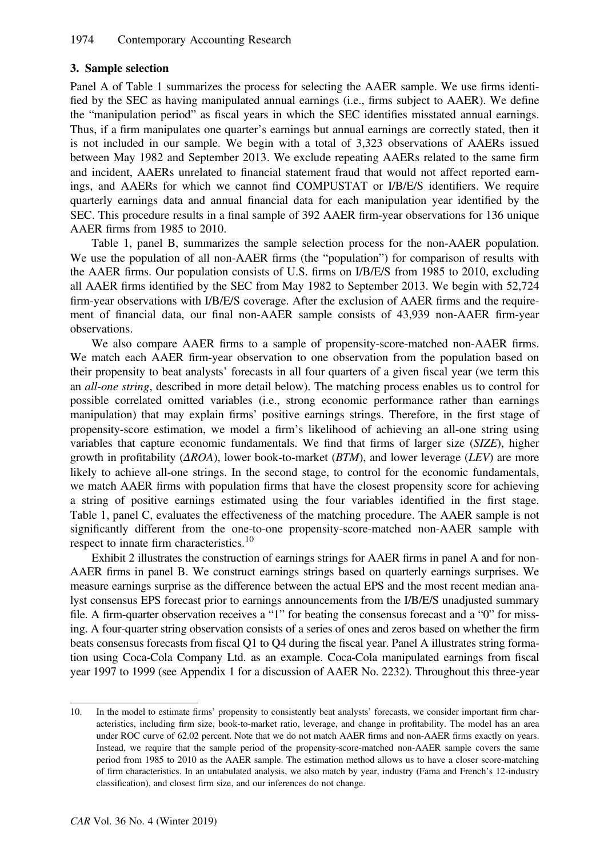# 3. Sample selection

Panel A of Table 1 summarizes the process for selecting the AAER sample. We use firms identified by the SEC as having manipulated annual earnings (i.e., firms subject to AAER). We define the "manipulation period" as fiscal years in which the SEC identifies misstated annual earnings. Thus, if a firm manipulates one quarter's earnings but annual earnings are correctly stated, then it is not included in our sample. We begin with a total of 3,323 observations of AAERs issued between May 1982 and September 2013. We exclude repeating AAERs related to the same firm and incident, AAERs unrelated to financial statement fraud that would not affect reported earnings, and AAERs for which we cannot find COMPUSTAT or I/B/E/S identifiers. We require quarterly earnings data and annual financial data for each manipulation year identified by the SEC. This procedure results in a final sample of 392 AAER firm-year observations for 136 unique AAER firms from 1985 to 2010.

Table 1, panel B, summarizes the sample selection process for the non-AAER population. We use the population of all non-AAER firms (the "population") for comparison of results with the AAER firms. Our population consists of U.S. firms on I/B/E/S from 1985 to 2010, excluding all AAER firms identified by the SEC from May 1982 to September 2013. We begin with 52,724 firm-year observations with I/B/E/S coverage. After the exclusion of AAER firms and the requirement of financial data, our final non-AAER sample consists of 43,939 non-AAER firm-year observations.

We also compare AAER firms to a sample of propensity-score-matched non-AAER firms. We match each AAER firm-year observation to one observation from the population based on their propensity to beat analysts' forecasts in all four quarters of a given fiscal year (we term this an *all-one string*, described in more detail below). The matching process enables us to control for possible correlated omitted variables (i.e., strong economic performance rather than earnings manipulation) that may explain firms' positive earnings strings. Therefore, in the first stage of propensity-score estimation, we model a firm's likelihood of achieving an all-one string using variables that capture economic fundamentals. We find that firms of larger size (SIZE), higher growth in profitability  $(\Delta ROA)$ , lower book-to-market  $(BTM)$ , and lower leverage  $(LEV)$  are more likely to achieve all-one strings. In the second stage, to control for the economic fundamentals, we match AAER firms with population firms that have the closest propensity score for achieving a string of positive earnings estimated using the four variables identified in the first stage. Table 1, panel C, evaluates the effectiveness of the matching procedure. The AAER sample is not significantly different from the one-to-one propensity-score-matched non-AAER sample with respect to innate firm characteristics.<sup>10</sup>

Exhibit 2 illustrates the construction of earnings strings for AAER firms in panel A and for non-AAER firms in panel B. We construct earnings strings based on quarterly earnings surprises. We measure earnings surprise as the difference between the actual EPS and the most recent median analyst consensus EPS forecast prior to earnings announcements from the I/B/E/S unadjusted summary file. A firm-quarter observation receives a "1" for beating the consensus forecast and a "0" for missing. A four-quarter string observation consists of a series of ones and zeros based on whether the firm beats consensus forecasts from fiscal Q1 to Q4 during the fiscal year. Panel A illustrates string formation using Coca-Cola Company Ltd. as an example. Coca-Cola manipulated earnings from fiscal year 1997 to 1999 (see Appendix 1 for a discussion of AAER No. 2232). Throughout this three-year

<sup>10.</sup> In the model to estimate firms' propensity to consistently beat analysts' forecasts, we consider important firm characteristics, including firm size, book-to-market ratio, leverage, and change in profitability. The model has an area under ROC curve of 62.02 percent. Note that we do not match AAER firms and non-AAER firms exactly on years. Instead, we require that the sample period of the propensity-score-matched non-AAER sample covers the same period from 1985 to 2010 as the AAER sample. The estimation method allows us to have a closer score-matching of firm characteristics. In an untabulated analysis, we also match by year, industry (Fama and French's 12-industry classification), and closest firm size, and our inferences do not change.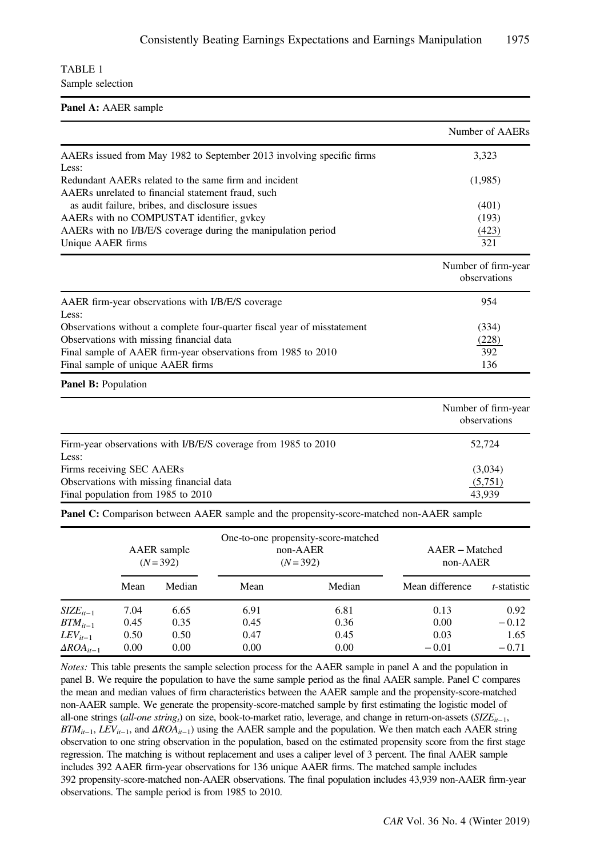## TABLE 1 Sample selection

#### Panel A: AAER sample

|                                                                          | Number of AAERs     |
|--------------------------------------------------------------------------|---------------------|
| AAERs issued from May 1982 to September 2013 involving specific firms    | 3,323               |
| Less:                                                                    |                     |
| Redundant AAERs related to the same firm and incident                    | (1,985)             |
| AAERs unrelated to financial statement fraud, such                       |                     |
| as audit failure, bribes, and disclosure issues                          | (401)               |
| AAERs with no COMPUSTAT identifier, gykey                                | (193)               |
| AAERs with no I/B/E/S coverage during the manipulation period            | (423)               |
| Unique AAER firms                                                        | 321                 |
|                                                                          | Number of firm-year |
|                                                                          | observations        |
| AAER firm-year observations with I/B/E/S coverage                        | 954                 |
| Less:                                                                    |                     |
| Observations without a complete four-quarter fiscal year of misstatement | (334)               |
| Observations with missing financial data                                 | (228)               |
| Final sample of AAER firm-year observations from 1985 to 2010            | 392                 |
| Final sample of unique AAER firms                                        | 136                 |
| <b>Panel B: Population</b>                                               |                     |
|                                                                          | Number of firm-year |
|                                                                          | observations        |
| Firm-year observations with I/B/E/S coverage from 1985 to 2010           | 52,724              |
| Less:                                                                    |                     |
| Firms receiving SEC AAERs                                                | (3,034)             |
| Observations with missing financial data                                 | (5,751)             |
| Final population from 1985 to 2010                                       | 43,939              |

Panel C: Comparison between AAER sample and the propensity-score-matched non-AAER sample

|                        | AAER sample<br>$(N=392)$ |        | One-to-one propensity-score-matched<br>non-AAER<br>$(N=392)$ |        | $AAER - Matched$<br>non-AAER |             |
|------------------------|--------------------------|--------|--------------------------------------------------------------|--------|------------------------------|-------------|
|                        | Mean                     | Median | Mean                                                         | Median | Mean difference              | t-statistic |
| $SIZE_{it-1}$          | 7.04                     | 6.65   | 6.91                                                         | 6.81   | 0.13                         | 0.92        |
| $BTM_{it-1}$           | 0.45                     | 0.35   | 0.45                                                         | 0.36   | 0.00                         | $-0.12$     |
| $LEV_{it-1}$           | 0.50                     | 0.50   | 0.47                                                         | 0.45   | 0.03                         | 1.65        |
| $\triangle ROA_{it-1}$ | 0.00                     | 0.00   | 0.00                                                         | 0.00   | $-0.01$                      | $-0.71$     |

Notes: This table presents the sample selection process for the AAER sample in panel A and the population in panel B. We require the population to have the same sample period as the final AAER sample. Panel C compares the mean and median values of firm characteristics between the AAER sample and the propensity-score-matched non-AAER sample. We generate the propensity-score-matched sample by first estimating the logistic model of all-one strings (all-one string<sub>t</sub>) on size, book-to-market ratio, leverage, and change in return-on-assets (SIZE<sub>it-1</sub>,  $BTM_{it-1}$ , LEV<sub>it−1</sub>, and  $\triangle AOA_{it-1}$ ) using the AAER sample and the population. We then match each AAER string observation to one string observation in the population, based on the estimated propensity score from the first stage regression. The matching is without replacement and uses a caliper level of 3 percent. The final AAER sample includes 392 AAER firm-year observations for 136 unique AAER firms. The matched sample includes 392 propensity-score-matched non-AAER observations. The final population includes 43,939 non-AAER firm-year observations. The sample period is from 1985 to 2010.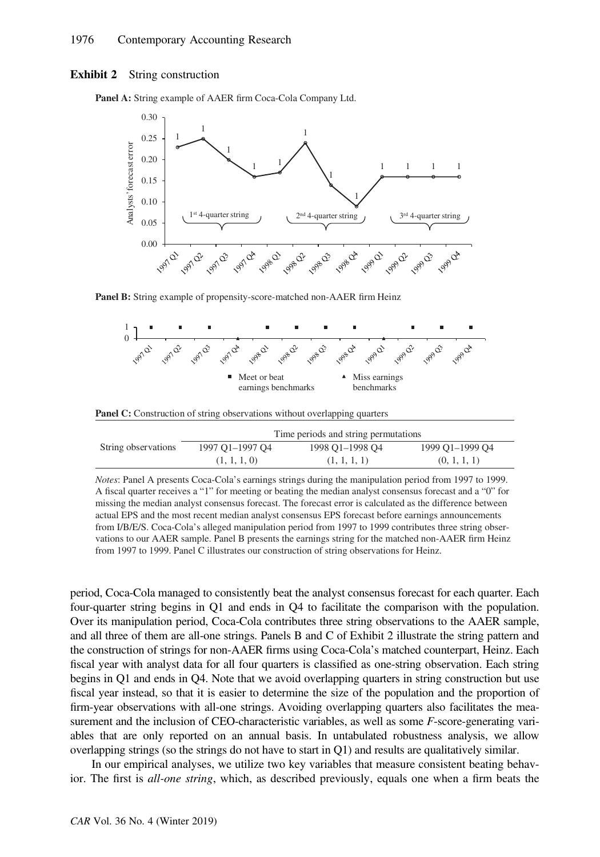### Exhibit 2 String construction

**Panel A:** String example of AAER firm Coca-Cola Company Ltd.



**Panel B:** String example of propensity-score-matched non-AAER firm Heinz



**Panel C:** Construction of string observations without overlapping quarters

|                     | Time periods and string permutations |                 |                 |  |  |  |
|---------------------|--------------------------------------|-----------------|-----------------|--|--|--|
| String observations | 1997 O1-1997 O4                      | 1998 O1-1998 O4 | 1999 O1-1999 O4 |  |  |  |
|                     | (1, 1, 1, 0)                         | (1, 1, 1, 1)    | (0, 1, 1, 1)    |  |  |  |

*Notes*: Panel A presents Coca-Cola's earnings strings during the manipulation period from 1997 to 1999. A fiscal quarter receives a "1" for meeting or beating the median analyst consensus forecast and a "0" for missing the median analyst consensus forecast. The forecast error is calculated as the difference between actual EPS and the most recent median analyst consensus EPS forecast before earnings announcements from I/B/E/S. Coca-Cola's alleged manipulation period from 1997 to 1999 contributes three string observations to our AAER sample. Panel B presents the earnings string for the matched non-AAER firm Heinz from 1997 to 1999. Panel C illustrates our construction of string observations for Heinz.

period, Coca-Cola managed to consistently beat the analyst consensus forecast for each quarter. Each four-quarter string begins in Q1 and ends in Q4 to facilitate the comparison with the population. Over its manipulation period, Coca-Cola contributes three string observations to the AAER sample, and all three of them are all-one strings. Panels B and C of Exhibit 2 illustrate the string pattern and the construction of strings for non-AAER firms using Coca-Cola's matched counterpart, Heinz. Each fiscal year with analyst data for all four quarters is classified as one-string observation. Each string begins in Q1 and ends in Q4. Note that we avoid overlapping quarters in string construction but use fiscal year instead, so that it is easier to determine the size of the population and the proportion of firm-year observations with all-one strings. Avoiding overlapping quarters also facilitates the measurement and the inclusion of CEO-characteristic variables, as well as some F-score-generating variables that are only reported on an annual basis. In untabulated robustness analysis, we allow overlapping strings (so the strings do not have to start in Q1) and results are qualitatively similar.

In our empirical analyses, we utilize two key variables that measure consistent beating behavior. The first is all-one string, which, as described previously, equals one when a firm beats the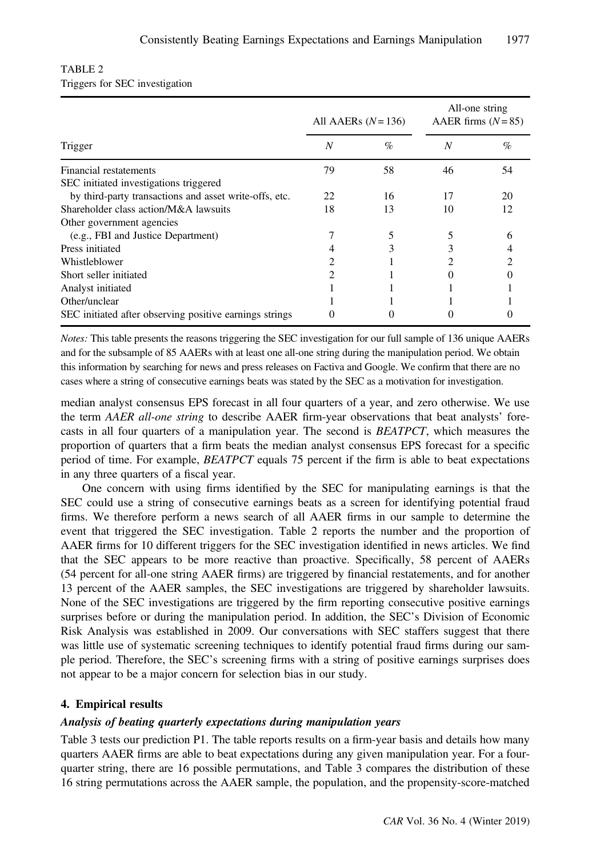|                                                         | All AAERs $(N=136)$ |      | All-one string<br>AAER firms $(N=85)$ |      |
|---------------------------------------------------------|---------------------|------|---------------------------------------|------|
| Trigger                                                 | $\boldsymbol{N}$    | $\%$ | N                                     | $\%$ |
| Financial restatements                                  | 79                  | 58   | 46                                    | 54   |
| SEC initiated investigations triggered                  |                     |      |                                       |      |
| by third-party transactions and asset write-offs, etc.  | 22                  | 16   | 17                                    | 20   |
| Shareholder class action/M&A lawsuits                   | 18                  | 13   | 10                                    | 12   |
| Other government agencies                               |                     |      |                                       |      |
| (e.g., FBI and Justice Department)                      |                     | 5    |                                       | h    |
| Press initiated                                         |                     | 3    |                                       |      |
| Whistleblower                                           |                     |      | 2                                     |      |
| Short seller initiated                                  |                     |      |                                       |      |
| Analyst initiated                                       |                     |      |                                       |      |
| Other/unclear                                           |                     |      |                                       |      |
| SEC initiated after observing positive earnings strings |                     |      |                                       |      |

# TABLE 2 Triggers for SEC investigation

Notes: This table presents the reasons triggering the SEC investigation for our full sample of 136 unique AAERs and for the subsample of 85 AAERs with at least one all-one string during the manipulation period. We obtain this information by searching for news and press releases on Factiva and Google. We confirm that there are no cases where a string of consecutive earnings beats was stated by the SEC as a motivation for investigation.

median analyst consensus EPS forecast in all four quarters of a year, and zero otherwise. We use the term AAER all-one string to describe AAER firm-year observations that beat analysts' forecasts in all four quarters of a manipulation year. The second is BEATPCT, which measures the proportion of quarters that a firm beats the median analyst consensus EPS forecast for a specific period of time. For example, BEATPCT equals 75 percent if the firm is able to beat expectations in any three quarters of a fiscal year.

One concern with using firms identified by the SEC for manipulating earnings is that the SEC could use a string of consecutive earnings beats as a screen for identifying potential fraud firms. We therefore perform a news search of all AAER firms in our sample to determine the event that triggered the SEC investigation. Table 2 reports the number and the proportion of AAER firms for 10 different triggers for the SEC investigation identified in news articles. We find that the SEC appears to be more reactive than proactive. Specifically, 58 percent of AAERs (54 percent for all-one string AAER firms) are triggered by financial restatements, and for another 13 percent of the AAER samples, the SEC investigations are triggered by shareholder lawsuits. None of the SEC investigations are triggered by the firm reporting consecutive positive earnings surprises before or during the manipulation period. In addition, the SEC's Division of Economic Risk Analysis was established in 2009. Our conversations with SEC staffers suggest that there was little use of systematic screening techniques to identify potential fraud firms during our sample period. Therefore, the SEC's screening firms with a string of positive earnings surprises does not appear to be a major concern for selection bias in our study.

# 4. Empirical results

# Analysis of beating quarterly expectations during manipulation years

Table 3 tests our prediction P1. The table reports results on a firm-year basis and details how many quarters AAER firms are able to beat expectations during any given manipulation year. For a fourquarter string, there are 16 possible permutations, and Table 3 compares the distribution of these 16 string permutations across the AAER sample, the population, and the propensity-score-matched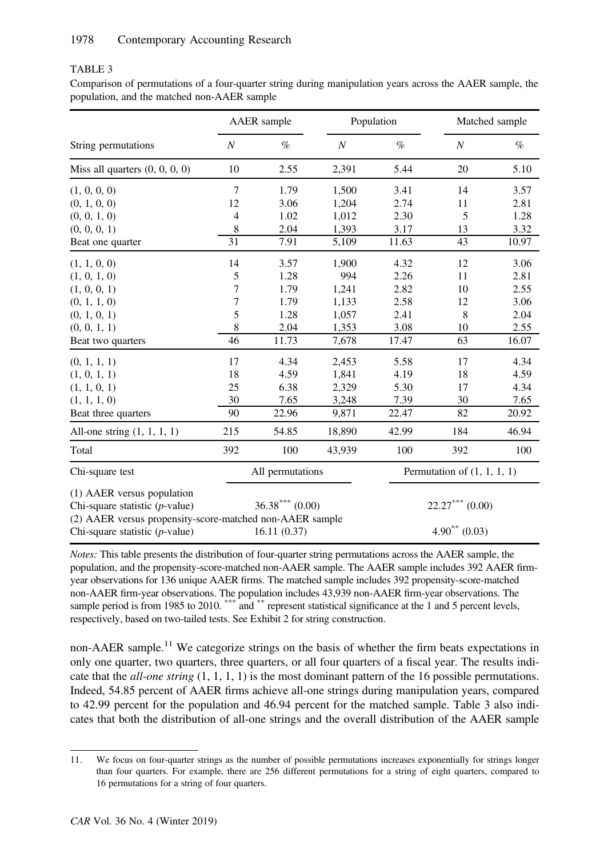# TABLE 3

Comparison of permutations of a four-quarter string during manipulation years across the AAER sample, the population, and the matched non-AAER sample

|                                                                                                                             |                  | AAER sample      |                  | Population<br>Matched sample  |                          |       |
|-----------------------------------------------------------------------------------------------------------------------------|------------------|------------------|------------------|-------------------------------|--------------------------|-------|
| String permutations                                                                                                         | $\boldsymbol{N}$ | $\%$             | $\boldsymbol{N}$ | $\%$                          | $\boldsymbol{N}$         | $\%$  |
| Miss all quarters $(0, 0, 0, 0)$                                                                                            | 10               | 2.55             | 2,391            | 5.44                          | 20                       | 5.10  |
| (1, 0, 0, 0)                                                                                                                | $\overline{7}$   | 1.79             | 1,500            | 3.41                          | 14                       | 3.57  |
| (0, 1, 0, 0)                                                                                                                | 12               | 3.06             | 1,204            | 2.74                          | 11                       | 2.81  |
| (0, 0, 1, 0)                                                                                                                | 4                | 1.02             | 1,012            | 2.30                          | 5                        | 1.28  |
| (0, 0, 0, 1)                                                                                                                | 8                | 2.04             | 1,393            | 3.17                          | 13                       | 3.32  |
| Beat one quarter                                                                                                            | 31               | 7.91             | 5,109            | 11.63                         | 43                       | 10.97 |
| (1, 1, 0, 0)                                                                                                                | 14               | 3.57             | 1,900            | 4.32                          | 12                       | 3.06  |
| (1, 0, 1, 0)                                                                                                                | 5                | 1.28             | 994              | 2.26                          | 11                       | 2.81  |
| (1, 0, 0, 1)                                                                                                                | 7                | 1.79             | 1,241            | 2.82                          | 10                       | 2.55  |
| (0, 1, 1, 0)                                                                                                                | 7                | 1.79             | 1,133            | 2.58                          | 12                       | 3.06  |
| (0, 1, 0, 1)                                                                                                                | 5                | 1.28             | 1,057            | 2.41                          | 8                        | 2.04  |
| (0, 0, 1, 1)                                                                                                                | 8                | 2.04             | 1,353            | 3.08                          | 10                       | 2.55  |
| Beat two quarters                                                                                                           | 46               | 11.73            | 7,678            | 17.47                         | 63                       | 16.07 |
| (0, 1, 1, 1)                                                                                                                | 17               | 4.34             | 2,453            | 5.58                          | 17                       | 4.34  |
| (1, 0, 1, 1)                                                                                                                | 18               | 4.59             | 1,841            | 4.19                          | 18                       | 4.59  |
| (1, 1, 0, 1)                                                                                                                | 25               | 6.38             | 2,329            | 5.30                          | 17                       | 4.34  |
| (1, 1, 1, 0)                                                                                                                | 30               | 7.65             | 3,248            | 7.39                          | 30                       | 7.65  |
| Beat three quarters                                                                                                         | 90               | 22.96            | 9,871            | 22.47                         | 82                       | 20.92 |
| All-one string $(1, 1, 1, 1)$                                                                                               | 215              | 54.85            | 18,890           | 42.99                         | 184                      | 46.94 |
| Total                                                                                                                       | 392              | 100              | 43,939           | 100                           | 392                      | 100   |
| Chi-square test                                                                                                             |                  | All permutations |                  | Permutation of $(1, 1, 1, 1)$ |                          |       |
| (1) AAER versus population<br>Chi-square statistic $(p$ -value)<br>(2) AAER versus propensity-score-matched non-AAER sample |                  | $36.38***(0.00)$ |                  |                               | $22.27***$ (0.00)        |       |
| Chi-square statistic $(p$ -value)                                                                                           |                  | 16.11(0.37)      |                  |                               | $4.90^{\ast\ast}$ (0.03) |       |

Notes: This table presents the distribution of four-quarter string permutations across the AAER sample, the population, and the propensity-score-matched non-AAER sample. The AAER sample includes 392 AAER firmyear observations for 136 unique AAER firms. The matched sample includes 392 propensity-score-matched non-AAER firm-year observations. The population includes 43,939 non-AAER firm-year observations. The sample period is from 1985 to 2010. \*\*\* and \*\* represent statistical significance at the 1 and 5 percent levels, respectively, based on two-tailed tests. See Exhibit 2 for string construction.

non-AAER sample.<sup>11</sup> We categorize strings on the basis of whether the firm beats expectations in only one quarter, two quarters, three quarters, or all four quarters of a fiscal year. The results indicate that the *all-one string*  $(1, 1, 1, 1)$  is the most dominant pattern of the 16 possible permutations. Indeed, 54.85 percent of AAER firms achieve all-one strings during manipulation years, compared to 42.99 percent for the population and 46.94 percent for the matched sample. Table 3 also indicates that both the distribution of all-one strings and the overall distribution of the AAER sample

<sup>11.</sup> We focus on four-quarter strings as the number of possible permutations increases exponentially for strings longer than four quarters. For example, there are 256 different permutations for a string of eight quarters, compared to 16 permutations for a string of four quarters.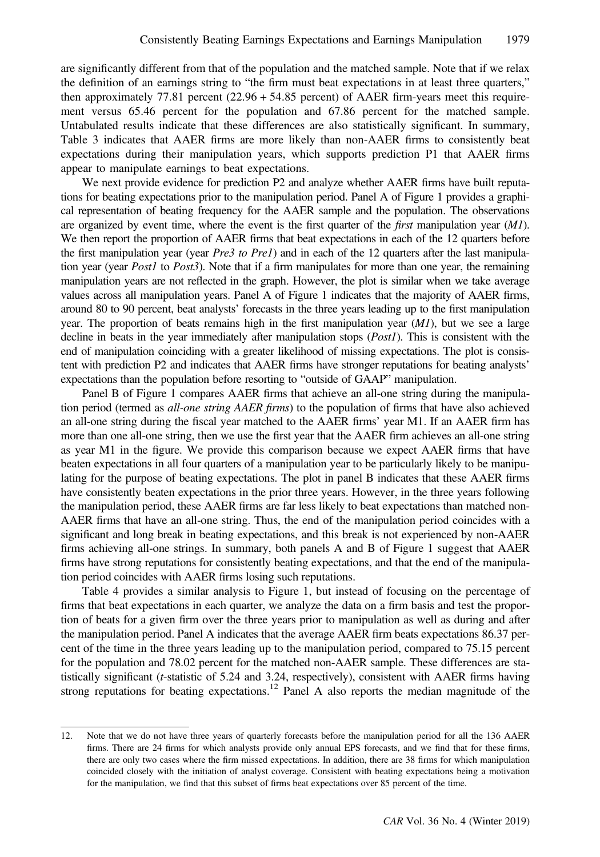are significantly different from that of the population and the matched sample. Note that if we relax the definition of an earnings string to "the firm must beat expectations in at least three quarters," then approximately 77.81 percent (22.96 + 54.85 percent) of AAER firm-years meet this requirement versus 65.46 percent for the population and 67.86 percent for the matched sample. Untabulated results indicate that these differences are also statistically significant. In summary, Table 3 indicates that AAER firms are more likely than non-AAER firms to consistently beat expectations during their manipulation years, which supports prediction P1 that AAER firms appear to manipulate earnings to beat expectations.

We next provide evidence for prediction P2 and analyze whether AAER firms have built reputations for beating expectations prior to the manipulation period. Panel A of Figure 1 provides a graphical representation of beating frequency for the AAER sample and the population. The observations are organized by event time, where the event is the first quarter of the *first* manipulation year (M1). We then report the proportion of AAER firms that beat expectations in each of the 12 quarters before the first manipulation year (year *Pre3 to Pre1*) and in each of the 12 quarters after the last manipulation year (year *Post1* to *Post3*). Note that if a firm manipulates for more than one year, the remaining manipulation years are not reflected in the graph. However, the plot is similar when we take average values across all manipulation years. Panel A of Figure 1 indicates that the majority of AAER firms, around 80 to 90 percent, beat analysts' forecasts in the three years leading up to the first manipulation year. The proportion of beats remains high in the first manipulation year  $(M<sub>1</sub>)$ , but we see a large decline in beats in the year immediately after manipulation stops (*Post1*). This is consistent with the end of manipulation coinciding with a greater likelihood of missing expectations. The plot is consistent with prediction P2 and indicates that AAER firms have stronger reputations for beating analysts' expectations than the population before resorting to "outside of GAAP" manipulation.

Panel B of Figure 1 compares AAER firms that achieve an all-one string during the manipulation period (termed as *all-one string AAER firms*) to the population of firms that have also achieved an all-one string during the fiscal year matched to the AAER firms' year M1. If an AAER firm has more than one all-one string, then we use the first year that the AAER firm achieves an all-one string as year M1 in the figure. We provide this comparison because we expect AAER firms that have beaten expectations in all four quarters of a manipulation year to be particularly likely to be manipulating for the purpose of beating expectations. The plot in panel B indicates that these AAER firms have consistently beaten expectations in the prior three years. However, in the three years following the manipulation period, these AAER firms are far less likely to beat expectations than matched non-AAER firms that have an all-one string. Thus, the end of the manipulation period coincides with a significant and long break in beating expectations, and this break is not experienced by non-AAER firms achieving all-one strings. In summary, both panels A and B of Figure 1 suggest that AAER firms have strong reputations for consistently beating expectations, and that the end of the manipulation period coincides with AAER firms losing such reputations.

Table 4 provides a similar analysis to Figure 1, but instead of focusing on the percentage of firms that beat expectations in each quarter, we analyze the data on a firm basis and test the proportion of beats for a given firm over the three years prior to manipulation as well as during and after the manipulation period. Panel A indicates that the average AAER firm beats expectations 86.37 percent of the time in the three years leading up to the manipulation period, compared to 75.15 percent for the population and 78.02 percent for the matched non-AAER sample. These differences are statistically significant (t-statistic of 5.24 and 3.24, respectively), consistent with AAER firms having strong reputations for beating expectations.<sup>12</sup> Panel A also reports the median magnitude of the

<sup>12.</sup> Note that we do not have three years of quarterly forecasts before the manipulation period for all the 136 AAER firms. There are 24 firms for which analysts provide only annual EPS forecasts, and we find that for these firms, there are only two cases where the firm missed expectations. In addition, there are 38 firms for which manipulation coincided closely with the initiation of analyst coverage. Consistent with beating expectations being a motivation for the manipulation, we find that this subset of firms beat expectations over 85 percent of the time.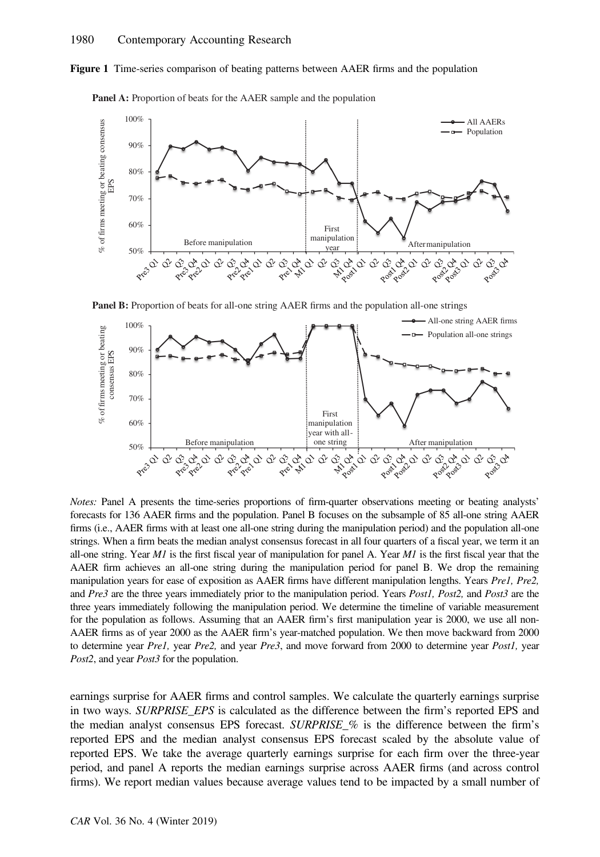



Panel A: Proportion of beats for the AAER sample and the population

Panel B: Proportion of beats for all-one string AAER firms and the population all-one strings



Notes: Panel A presents the time-series proportions of firm-quarter observations meeting or beating analysts' forecasts for 136 AAER firms and the population. Panel B focuses on the subsample of 85 all-one string AAER firms (i.e., AAER firms with at least one all-one string during the manipulation period) and the population all-one strings. When a firm beats the median analyst consensus forecast in all four quarters of a fiscal year, we term it an all-one string. Year  $MI$  is the first fiscal year of manipulation for panel A. Year  $MI$  is the first fiscal year that the AAER firm achieves an all-one string during the manipulation period for panel B. We drop the remaining manipulation years for ease of exposition as AAER firms have different manipulation lengths. Years Pre1, Pre2, and Pre3 are the three years immediately prior to the manipulation period. Years Post1, Post2, and Post3 are the three years immediately following the manipulation period. We determine the timeline of variable measurement for the population as follows. Assuming that an AAER firm's first manipulation year is 2000, we use all non-AAER firms as of year 2000 as the AAER firm's year-matched population. We then move backward from 2000 to determine year Pre1, year Pre2, and year Pre3, and move forward from 2000 to determine year Post1, year Post2, and year *Post3* for the population.

earnings surprise for AAER firms and control samples. We calculate the quarterly earnings surprise in two ways. SURPRISE EPS is calculated as the difference between the firm's reported EPS and the median analyst consensus EPS forecast.  $SURPRISE$  % is the difference between the firm's reported EPS and the median analyst consensus EPS forecast scaled by the absolute value of reported EPS. We take the average quarterly earnings surprise for each firm over the three-year period, and panel A reports the median earnings surprise across AAER firms (and across control firms). We report median values because average values tend to be impacted by a small number of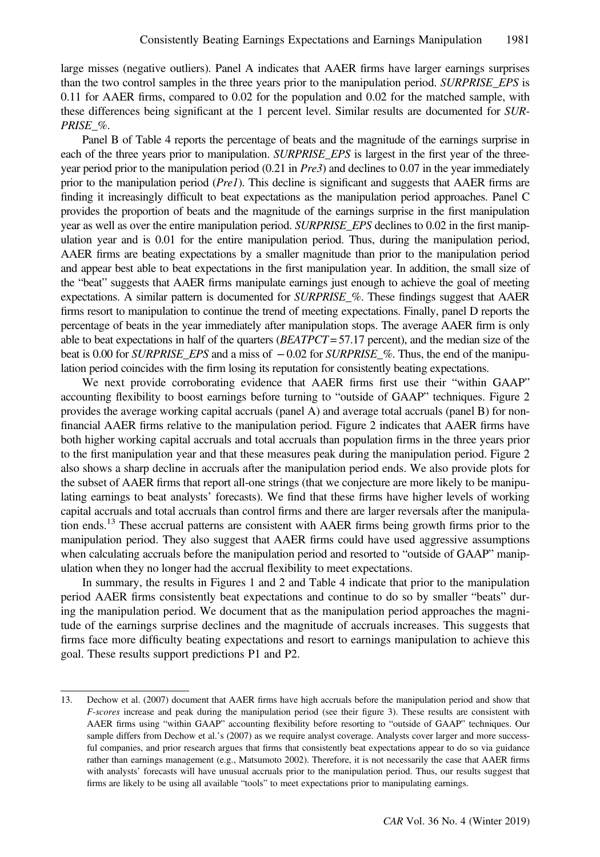large misses (negative outliers). Panel A indicates that AAER firms have larger earnings surprises than the two control samples in the three years prior to the manipulation period. SURPRISE\_EPS is 0.11 for AAER firms, compared to 0.02 for the population and 0.02 for the matched sample, with these differences being significant at the 1 percent level. Similar results are documented for SUR-PRISE\_%.

Panel B of Table 4 reports the percentage of beats and the magnitude of the earnings surprise in each of the three years prior to manipulation. SURPRISE\_EPS is largest in the first year of the threeyear period prior to the manipulation period  $(0.21 \text{ in } Pre3)$  and declines to 0.07 in the year immediately prior to the manipulation period (Pre1). This decline is significant and suggests that AAER firms are finding it increasingly difficult to beat expectations as the manipulation period approaches. Panel C provides the proportion of beats and the magnitude of the earnings surprise in the first manipulation year as well as over the entire manipulation period. *SURPRISE EPS* declines to 0.02 in the first manipulation year and is 0.01 for the entire manipulation period. Thus, during the manipulation period, AAER firms are beating expectations by a smaller magnitude than prior to the manipulation period and appear best able to beat expectations in the first manipulation year. In addition, the small size of the "beat" suggests that AAER firms manipulate earnings just enough to achieve the goal of meeting expectations. A similar pattern is documented for *SURPRISE\_%*. These findings suggest that AAER firms resort to manipulation to continue the trend of meeting expectations. Finally, panel D reports the percentage of beats in the year immediately after manipulation stops. The average AAER firm is only able to beat expectations in half of the quarters  $(BEATPCT = 57.17)$  percent), and the median size of the beat is 0.00 for *SURPRISE\_EPS* and a miss of  $-0.02$  for *SURPRISE\_%*. Thus, the end of the manipulation period coincides with the firm losing its reputation for consistently beating expectations.

We next provide corroborating evidence that AAER firms first use their "within GAAP" accounting flexibility to boost earnings before turning to "outside of GAAP" techniques. Figure 2 provides the average working capital accruals (panel A) and average total accruals (panel B) for nonfinancial AAER firms relative to the manipulation period. Figure 2 indicates that AAER firms have both higher working capital accruals and total accruals than population firms in the three years prior to the first manipulation year and that these measures peak during the manipulation period. Figure 2 also shows a sharp decline in accruals after the manipulation period ends. We also provide plots for the subset of AAER firms that report all-one strings (that we conjecture are more likely to be manipulating earnings to beat analysts' forecasts). We find that these firms have higher levels of working capital accruals and total accruals than control firms and there are larger reversals after the manipulation ends.<sup>13</sup> These accrual patterns are consistent with AAER firms being growth firms prior to the manipulation period. They also suggest that AAER firms could have used aggressive assumptions when calculating accruals before the manipulation period and resorted to "outside of GAAP" manipulation when they no longer had the accrual flexibility to meet expectations.

In summary, the results in Figures 1 and 2 and Table 4 indicate that prior to the manipulation period AAER firms consistently beat expectations and continue to do so by smaller "beats" during the manipulation period. We document that as the manipulation period approaches the magnitude of the earnings surprise declines and the magnitude of accruals increases. This suggests that firms face more difficulty beating expectations and resort to earnings manipulation to achieve this goal. These results support predictions P1 and P2.

<sup>13.</sup> Dechow et al. (2007) document that AAER firms have high accruals before the manipulation period and show that F-scores increase and peak during the manipulation period (see their figure 3). These results are consistent with AAER firms using "within GAAP" accounting flexibility before resorting to "outside of GAAP" techniques. Our sample differs from Dechow et al.'s (2007) as we require analyst coverage. Analysts cover larger and more successful companies, and prior research argues that firms that consistently beat expectations appear to do so via guidance rather than earnings management (e.g., Matsumoto 2002). Therefore, it is not necessarily the case that AAER firms with analysts' forecasts will have unusual accruals prior to the manipulation period. Thus, our results suggest that firms are likely to be using all available "tools" to meet expectations prior to manipulating earnings.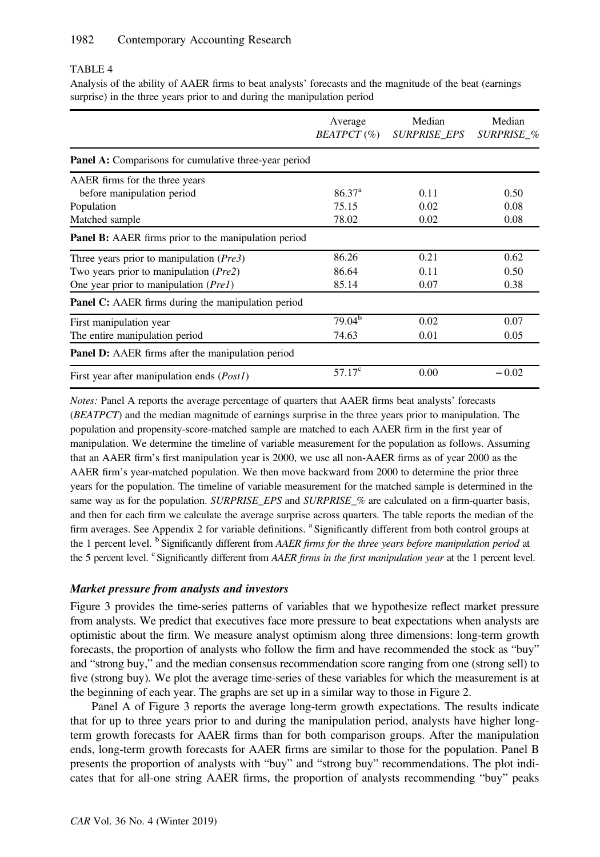## 1982 Contemporary Accounting Research

## TABLE 4

Analysis of the ability of AAER firms to beat analysts' forecasts and the magnitude of the beat (earnings surprise) in the three years prior to and during the manipulation period

|                                                              | Average<br>$BEATPCT (\%)$ | Median<br><b>SURPRISE_EPS</b> | Median<br><b>SURPRISE</b> % |
|--------------------------------------------------------------|---------------------------|-------------------------------|-----------------------------|
| <b>Panel A:</b> Comparisons for cumulative three-year period |                           |                               |                             |
| AAER firms for the three years                               |                           |                               |                             |
| before manipulation period                                   | 86.37 <sup>a</sup>        | 0.11                          | 0.50                        |
| Population                                                   | 75.15                     | 0.02                          | 0.08                        |
| Matched sample                                               | 78.02                     | 0.02                          | 0.08                        |
| <b>Panel B:</b> AAER firms prior to the manipulation period  |                           |                               |                             |
| Three years prior to manipulation $(Pre3)$                   | 86.26                     | 0.21                          | 0.62                        |
| Two years prior to manipulation $(Pre2)$                     | 86.64                     | 0.11                          | 0.50                        |
| One year prior to manipulation $(PreI)$                      | 85.14                     | 0.07                          | 0.38                        |
| <b>Panel C:</b> AAER firms during the manipulation period    |                           |                               |                             |
| First manipulation year                                      | 79.04 <sup>b</sup>        | 0.02                          | 0.07                        |
| The entire manipulation period                               | 74.63                     | 0.01                          | 0.05                        |
| <b>Panel D:</b> AAER firms after the manipulation period     |                           |                               |                             |
| First year after manipulation ends ( <i>Post1</i> )          | $57.17^{\circ}$           | 0.00                          | $-0.02$                     |

Notes: Panel A reports the average percentage of quarters that AAER firms beat analysts' forecasts (BEATPCT) and the median magnitude of earnings surprise in the three years prior to manipulation. The population and propensity-score-matched sample are matched to each AAER firm in the first year of manipulation. We determine the timeline of variable measurement for the population as follows. Assuming that an AAER firm's first manipulation year is 2000, we use all non-AAER firms as of year 2000 as the AAER firm's year-matched population. We then move backward from 2000 to determine the prior three years for the population. The timeline of variable measurement for the matched sample is determined in the same way as for the population. SURPRISE\_EPS and SURPRISE\_% are calculated on a firm-quarter basis, and then for each firm we calculate the average surprise across quarters. The table reports the median of the firm averages. See Appendix 2 for variable definitions. <sup>a</sup> Significantly different from both control groups at the 1 percent level. <sup>b</sup> Significantly different from AAER firms for the three years before manipulation period at the 5 percent level. <sup>c</sup> Significantly different from AAER firms in the first manipulation year at the 1 percent level.

## Market pressure from analysts and investors

Figure 3 provides the time-series patterns of variables that we hypothesize reflect market pressure from analysts. We predict that executives face more pressure to beat expectations when analysts are optimistic about the firm. We measure analyst optimism along three dimensions: long-term growth forecasts, the proportion of analysts who follow the firm and have recommended the stock as "buy" and "strong buy," and the median consensus recommendation score ranging from one (strong sell) to five (strong buy). We plot the average time-series of these variables for which the measurement is at the beginning of each year. The graphs are set up in a similar way to those in Figure 2.

Panel A of Figure 3 reports the average long-term growth expectations. The results indicate that for up to three years prior to and during the manipulation period, analysts have higher longterm growth forecasts for AAER firms than for both comparison groups. After the manipulation ends, long-term growth forecasts for AAER firms are similar to those for the population. Panel B presents the proportion of analysts with "buy" and "strong buy" recommendations. The plot indicates that for all-one string AAER firms, the proportion of analysts recommending "buy" peaks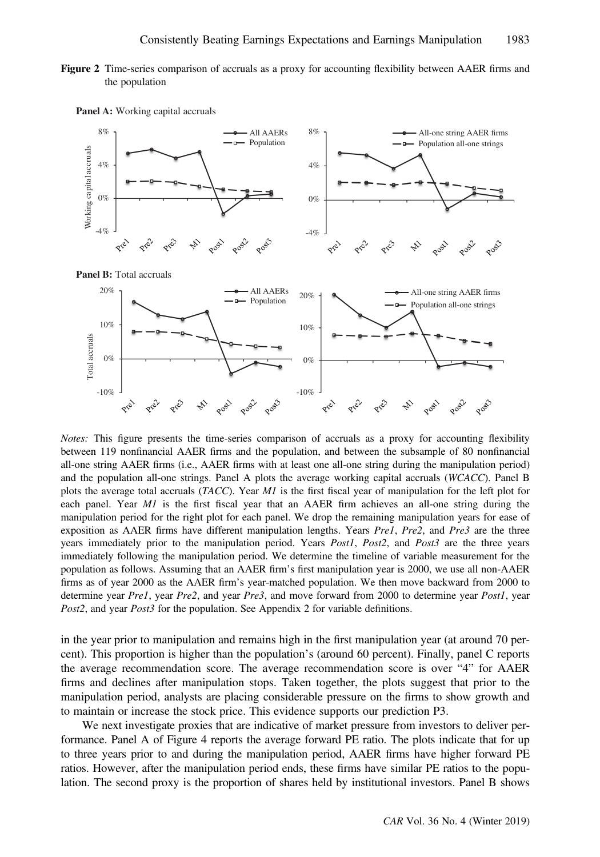



**Panel A:** Working capital accruals

Notes: This figure presents the time-series comparison of accruals as a proxy for accounting flexibility between 119 nonfinancial AAER firms and the population, and between the subsample of 80 nonfinancial all-one string AAER firms (i.e., AAER firms with at least one all-one string during the manipulation period) and the population all-one strings. Panel A plots the average working capital accruals (WCACC). Panel B plots the average total accruals (TACC). Year M1 is the first fiscal year of manipulation for the left plot for each panel. Year  $MI$  is the first fiscal year that an AAER firm achieves an all-one string during the manipulation period for the right plot for each panel. We drop the remaining manipulation years for ease of exposition as AAER firms have different manipulation lengths. Years Pre1, Pre2, and Pre3 are the three years immediately prior to the manipulation period. Years *Post1*, *Post2*, and *Post3* are the three years immediately following the manipulation period. We determine the timeline of variable measurement for the population as follows. Assuming that an AAER firm's first manipulation year is 2000, we use all non-AAER firms as of year 2000 as the AAER firm's year-matched population. We then move backward from 2000 to determine year Pre1, year Pre2, and year Pre3, and move forward from 2000 to determine year Post1, year Post2, and year Post3 for the population. See Appendix 2 for variable definitions.

in the year prior to manipulation and remains high in the first manipulation year (at around 70 percent). This proportion is higher than the population's (around 60 percent). Finally, panel C reports the average recommendation score. The average recommendation score is over "4" for AAER firms and declines after manipulation stops. Taken together, the plots suggest that prior to the manipulation period, analysts are placing considerable pressure on the firms to show growth and to maintain or increase the stock price. This evidence supports our prediction P3.

We next investigate proxies that are indicative of market pressure from investors to deliver performance. Panel A of Figure 4 reports the average forward PE ratio. The plots indicate that for up to three years prior to and during the manipulation period, AAER firms have higher forward PE ratios. However, after the manipulation period ends, these firms have similar PE ratios to the population. The second proxy is the proportion of shares held by institutional investors. Panel B shows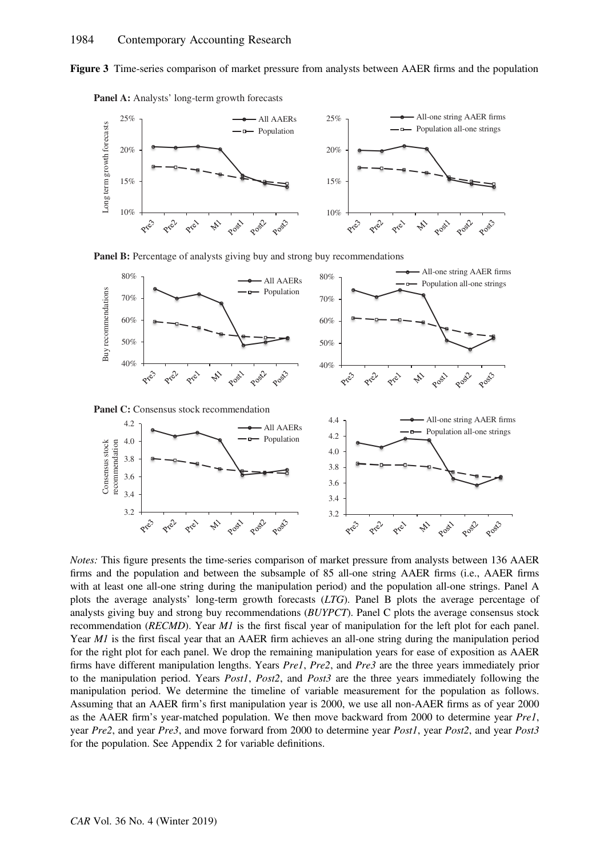





Notes: This figure presents the time-series comparison of market pressure from analysts between 136 AAER firms and the population and between the subsample of 85 all-one string AAER firms (i.e., AAER firms with at least one all-one string during the manipulation period) and the population all-one strings. Panel A plots the average analysts' long-term growth forecasts (LTG). Panel B plots the average percentage of analysts giving buy and strong buy recommendations (BUYPCT). Panel C plots the average consensus stock recommendation (RECMD). Year M1 is the first fiscal year of manipulation for the left plot for each panel. Year *M1* is the first fiscal year that an AAER firm achieves an all-one string during the manipulation period for the right plot for each panel. We drop the remaining manipulation years for ease of exposition as AAER firms have different manipulation lengths. Years Pre1, Pre2, and Pre3 are the three years immediately prior to the manipulation period. Years Post1, Post2, and Post3 are the three years immediately following the manipulation period. We determine the timeline of variable measurement for the population as follows. Assuming that an AAER firm's first manipulation year is 2000, we use all non-AAER firms as of year 2000 as the AAER firm's year-matched population. We then move backward from 2000 to determine year Pre1, year Pre2, and year Pre3, and move forward from 2000 to determine year Post1, year Post2, and year Post3 for the population. See Appendix 2 for variable definitions.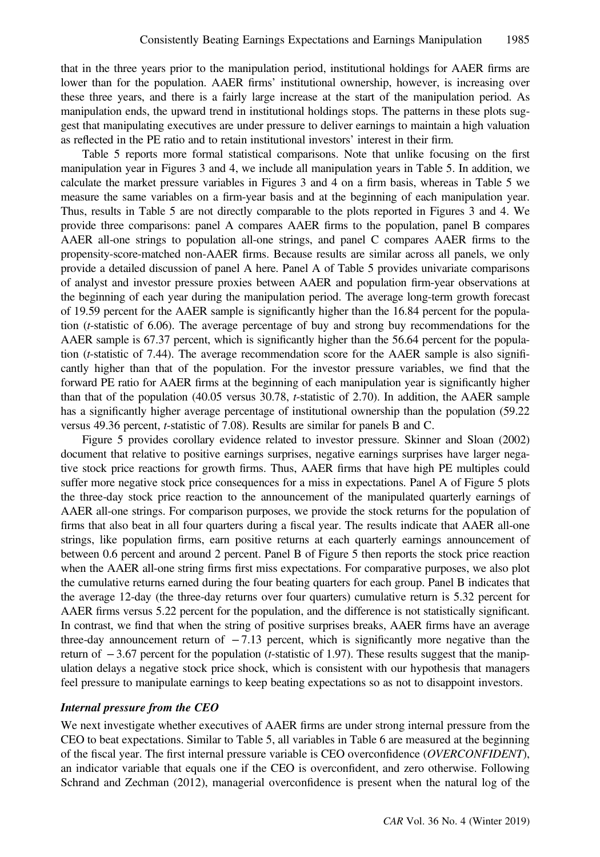that in the three years prior to the manipulation period, institutional holdings for AAER firms are lower than for the population. AAER firms' institutional ownership, however, is increasing over these three years, and there is a fairly large increase at the start of the manipulation period. As manipulation ends, the upward trend in institutional holdings stops. The patterns in these plots suggest that manipulating executives are under pressure to deliver earnings to maintain a high valuation as reflected in the PE ratio and to retain institutional investors' interest in their firm.

Table 5 reports more formal statistical comparisons. Note that unlike focusing on the first manipulation year in Figures 3 and 4, we include all manipulation years in Table 5. In addition, we calculate the market pressure variables in Figures 3 and 4 on a firm basis, whereas in Table 5 we measure the same variables on a firm-year basis and at the beginning of each manipulation year. Thus, results in Table 5 are not directly comparable to the plots reported in Figures 3 and 4. We provide three comparisons: panel A compares AAER firms to the population, panel B compares AAER all-one strings to population all-one strings, and panel C compares AAER firms to the propensity-score-matched non-AAER firms. Because results are similar across all panels, we only provide a detailed discussion of panel A here. Panel A of Table 5 provides univariate comparisons of analyst and investor pressure proxies between AAER and population firm-year observations at the beginning of each year during the manipulation period. The average long-term growth forecast of 19.59 percent for the AAER sample is significantly higher than the 16.84 percent for the population (t-statistic of 6.06). The average percentage of buy and strong buy recommendations for the AAER sample is 67.37 percent, which is significantly higher than the 56.64 percent for the population (t-statistic of 7.44). The average recommendation score for the AAER sample is also significantly higher than that of the population. For the investor pressure variables, we find that the forward PE ratio for AAER firms at the beginning of each manipulation year is significantly higher than that of the population (40.05 versus 30.78, t-statistic of 2.70). In addition, the AAER sample has a significantly higher average percentage of institutional ownership than the population (59.22) versus 49.36 percent, t-statistic of 7.08). Results are similar for panels B and C.

Figure 5 provides corollary evidence related to investor pressure. Skinner and Sloan (2002) document that relative to positive earnings surprises, negative earnings surprises have larger negative stock price reactions for growth firms. Thus, AAER firms that have high PE multiples could suffer more negative stock price consequences for a miss in expectations. Panel A of Figure 5 plots the three-day stock price reaction to the announcement of the manipulated quarterly earnings of AAER all-one strings. For comparison purposes, we provide the stock returns for the population of firms that also beat in all four quarters during a fiscal year. The results indicate that AAER all-one strings, like population firms, earn positive returns at each quarterly earnings announcement of between 0.6 percent and around 2 percent. Panel B of Figure 5 then reports the stock price reaction when the AAER all-one string firms first miss expectations. For comparative purposes, we also plot the cumulative returns earned during the four beating quarters for each group. Panel B indicates that the average 12-day (the three-day returns over four quarters) cumulative return is 5.32 percent for AAER firms versus 5.22 percent for the population, and the difference is not statistically significant. In contrast, we find that when the string of positive surprises breaks, AAER firms have an average three-day announcement return of  $-7.13$  percent, which is significantly more negative than the return of  $-3.67$  percent for the population (*t*-statistic of 1.97). These results suggest that the manipulation delays a negative stock price shock, which is consistent with our hypothesis that managers feel pressure to manipulate earnings to keep beating expectations so as not to disappoint investors.

#### Internal pressure from the CEO

We next investigate whether executives of AAER firms are under strong internal pressure from the CEO to beat expectations. Similar to Table 5, all variables in Table 6 are measured at the beginning of the fiscal year. The first internal pressure variable is CEO overconfidence (OVERCONFIDENT), an indicator variable that equals one if the CEO is overconfident, and zero otherwise. Following Schrand and Zechman (2012), managerial overconfidence is present when the natural log of the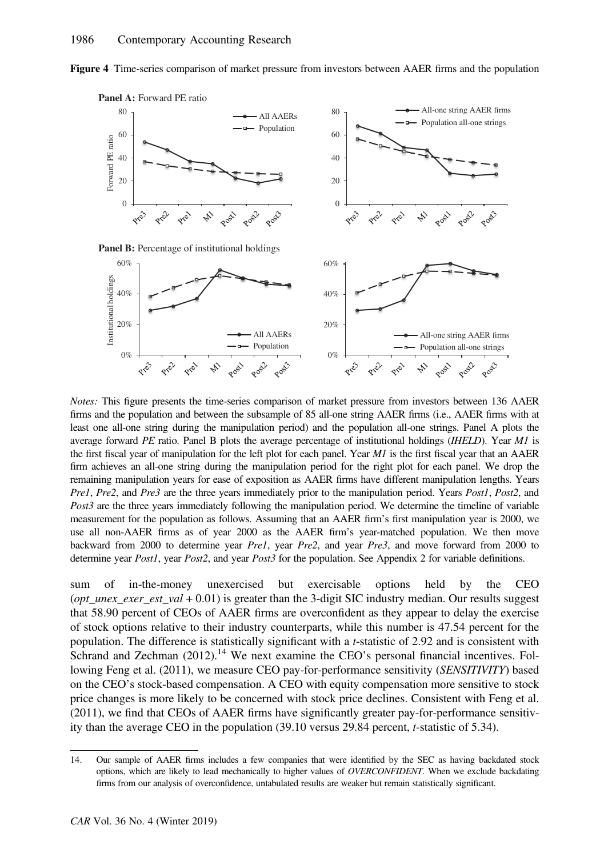

Figure 4 Time-series comparison of market pressure from investors between AAER firms and the population

Notes: This figure presents the time-series comparison of market pressure from investors between 136 AAER firms and the population and between the subsample of 85 all-one string AAER firms (i.e., AAER firms with at least one all-one string during the manipulation period) and the population all-one strings. Panel A plots the average forward PE ratio. Panel B plots the average percentage of institutional holdings (IHELD). Year M1 is the first fiscal year of manipulation for the left plot for each panel. Year  $MI$  is the first fiscal year that an AAER firm achieves an all-one string during the manipulation period for the right plot for each panel. We drop the remaining manipulation years for ease of exposition as AAER firms have different manipulation lengths. Years Pre1, Pre2, and Pre3 are the three years immediately prior to the manipulation period. Years Post1, Post2, and Post3 are the three years immediately following the manipulation period. We determine the timeline of variable measurement for the population as follows. Assuming that an AAER firm's first manipulation year is 2000, we use all non-AAER firms as of year 2000 as the AAER firm's year-matched population. We then move backward from 2000 to determine year Pre1, year Pre2, and year Pre3, and move forward from 2000 to determine year *Post1*, year *Post2*, and year *Post3* for the population. See Appendix 2 for variable definitions.

sum of in-the-money unexercised but exercisable options held by the CEO (opt unex exer est val  $+ 0.01$ ) is greater than the 3-digit SIC industry median. Our results suggest that 58.90 percent of CEOs of AAER firms are overconfident as they appear to delay the exercise of stock options relative to their industry counterparts, while this number is 47.54 percent for the population. The difference is statistically significant with a t-statistic of 2.92 and is consistent with Schrand and Zechman  $(2012)$ .<sup>14</sup> We next examine the CEO's personal financial incentives. Following Feng et al. (2011), we measure CEO pay-for-performance sensitivity (*SENSITIVITY*) based on the CEO's stock-based compensation. A CEO with equity compensation more sensitive to stock price changes is more likely to be concerned with stock price declines. Consistent with Feng et al. (2011), we find that CEOs of AAER firms have significantly greater pay-for-performance sensitivity than the average CEO in the population (39.10 versus 29.84 percent, t-statistic of 5.34).

<sup>14.</sup> Our sample of AAER firms includes a few companies that were identified by the SEC as having backdated stock options, which are likely to lead mechanically to higher values of OVERCONFIDENT. When we exclude backdating firms from our analysis of overconfidence, untabulated results are weaker but remain statistically significant.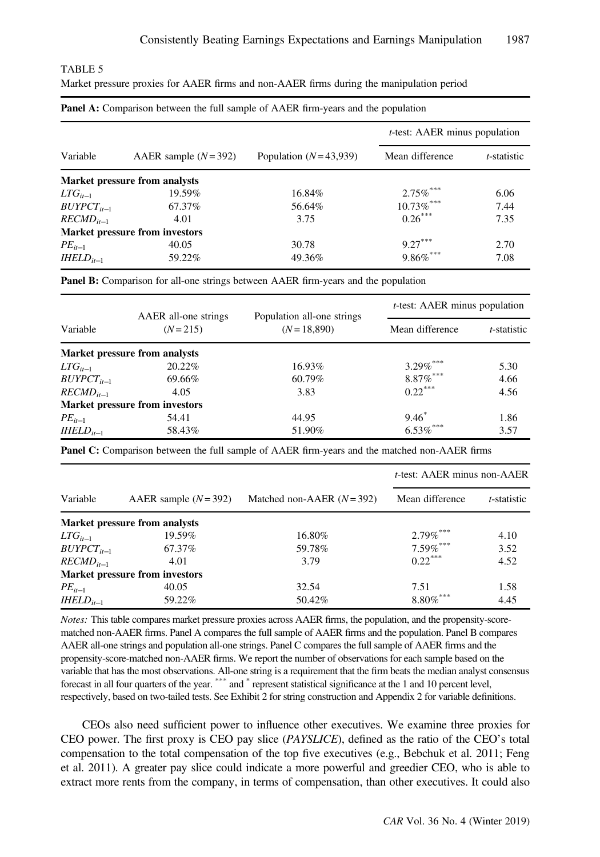### TABLE 5

Market pressure proxies for AAER firms and non-AAER firms during the manipulation period

|                 |                                      |                         | <i>t</i> -test: AAER minus population |                     |
|-----------------|--------------------------------------|-------------------------|---------------------------------------|---------------------|
| Variable        | AAER sample $(N=392)$                | Population $(N=43,939)$ | Mean difference                       | <i>t</i> -statistic |
|                 | <b>Market pressure from analysts</b> |                         |                                       |                     |
| $LTG_{it-1}$    | 19.59%                               | 16.84%                  | $2.75\%$ ***                          | 6.06                |
| $BUYPCT_{it-1}$ | 67.37%                               | 56.64%                  | $10.73\%$ ***                         | 7.44                |
| $RECMD_{it-1}$  | 4.01                                 | 3.75                    | $0.26***$                             | 7.35                |
|                 | Market pressure from investors       |                         |                                       |                     |
| $PE_{it-1}$     | 40.05                                | 30.78                   | $9.27***$                             | 2.70                |
| $HELD_{it-1}$   | 59.22%                               | 49.36%                  | $9.86\%$ ***                          | 7.08                |

#### Panel A: Comparison between the full sample of AAER firm-years and the population

Panel B: Comparison for all-one strings between AAER firm-years and the population

|                 |                                       |                                            | <i>t</i> -test: AAER minus population |                     |
|-----------------|---------------------------------------|--------------------------------------------|---------------------------------------|---------------------|
| Variable        | AAER all-one strings<br>$(N=215)$     | Population all-one strings<br>$(N=18,890)$ | Mean difference                       | <i>t</i> -statistic |
|                 | Market pressure from analysts         |                                            |                                       |                     |
| $LTG_{it-1}$    | 20.22\%                               | 16.93%                                     | $3.29\%$ ***                          | 5.30                |
| $BUYPCT_{it-1}$ | 69.66%                                | 60.79%                                     | $8.87\%$ ***                          | 4.66                |
| $RECMD_{it-1}$  | 4.05                                  | 3.83                                       | $0.22***$                             | 4.56                |
|                 | <b>Market pressure from investors</b> |                                            |                                       |                     |
| $PE_{it-1}$     | 54.41                                 | 44.95                                      | $9.46*$                               | 1.86                |
| $HELD_{it-1}$   | 58.43%                                | 51.90%                                     | $6.53\%$ ***                          | 3.57                |

Panel C: Comparison between the full sample of AAER firm-years and the matched non-AAER firms

|                 |                                       |                            | $t$ -test: AAER minus non-AAER |                     |
|-----------------|---------------------------------------|----------------------------|--------------------------------|---------------------|
| Variable        | AAER sample $(N=392)$                 | Matched non-AAER $(N=392)$ | Mean difference                | <i>t</i> -statistic |
|                 | <b>Market pressure from analysts</b>  |                            |                                |                     |
| $LTG_{it-1}$    | 19.59%                                | 16.80%                     | $2.79\%$ ***                   | 4.10                |
| $BUYPCT_{it-1}$ | 67.37%                                | 59.78%                     | $7.59\%$ ***                   | 3.52                |
| $RECMD_{it-1}$  | 4.01                                  | 3.79                       | $0.22***$                      | 4.52                |
|                 | <b>Market pressure from investors</b> |                            |                                |                     |
| $PE_{it-1}$     | 40.05                                 | 32.54                      | 7.51                           | 1.58                |
| $HELD_{it-1}$   | 59.22%                                | 50.42%                     | $8.80\%$ ***                   | 4.45                |

Notes: This table compares market pressure proxies across AAER firms, the population, and the propensity-scorematched non-AAER firms. Panel A compares the full sample of AAER firms and the population. Panel B compares AAER all-one strings and population all-one strings. Panel C compares the full sample of AAER firms and the propensity-score-matched non-AAER firms. We report the number of observations for each sample based on the variable that has the most observations. All-one string is a requirement that the firm beats the median analyst consensus forecast in all four quarters of the year. \*\*\* and \* represent statistical significance at the 1 and 10 percent level, respectively, based on two-tailed tests. See Exhibit 2 for string construction and Appendix 2 for variable definitions.

CEOs also need sufficient power to influence other executives. We examine three proxies for CEO power. The first proxy is CEO pay slice (PAYSLICE), defined as the ratio of the CEO's total compensation to the total compensation of the top five executives (e.g., Bebchuk et al. 2011; Feng et al. 2011). A greater pay slice could indicate a more powerful and greedier CEO, who is able to extract more rents from the company, in terms of compensation, than other executives. It could also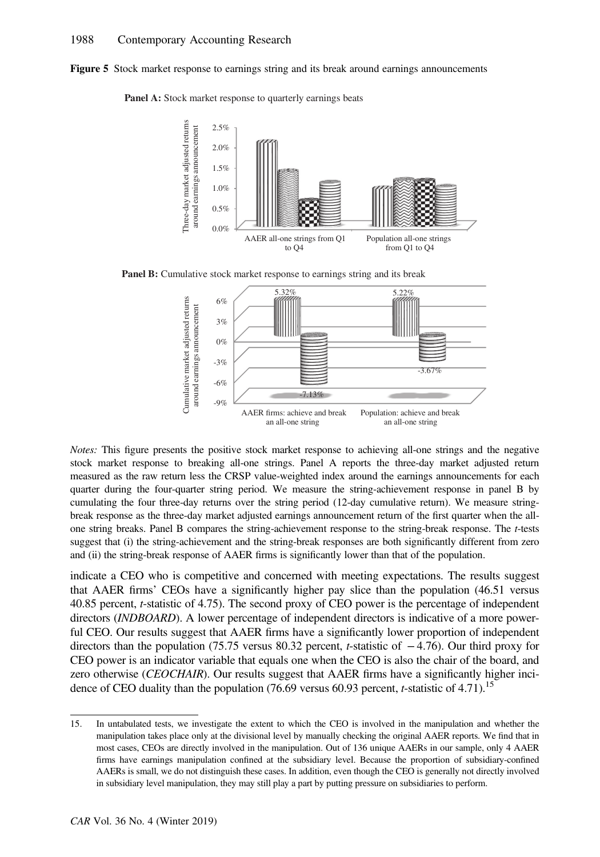Figure 5 Stock market response to earnings string and its break around earnings announcements

Panel A: Stock market response to quarterly earnings beats



Panel B: Cumulative stock market response to earnings string and its break



Notes: This figure presents the positive stock market response to achieving all-one strings and the negative stock market response to breaking all-one strings. Panel A reports the three-day market adjusted return measured as the raw return less the CRSP value-weighted index around the earnings announcements for each quarter during the four-quarter string period. We measure the string-achievement response in panel B by cumulating the four three-day returns over the string period (12-day cumulative return). We measure stringbreak response as the three-day market adjusted earnings announcement return of the first quarter when the allone string breaks. Panel B compares the string-achievement response to the string-break response. The t-tests suggest that (i) the string-achievement and the string-break responses are both significantly different from zero and (ii) the string-break response of AAER firms is significantly lower than that of the population.

indicate a CEO who is competitive and concerned with meeting expectations. The results suggest that AAER firms' CEOs have a significantly higher pay slice than the population (46.51 versus 40.85 percent, t-statistic of 4.75). The second proxy of CEO power is the percentage of independent directors *(INDBOARD)*. A lower percentage of independent directors is indicative of a more powerful CEO. Our results suggest that AAER firms have a significantly lower proportion of independent directors than the population (75.75 versus 80.32 percent, t-statistic of −4.76). Our third proxy for CEO power is an indicator variable that equals one when the CEO is also the chair of the board, and zero otherwise (CEOCHAIR). Our results suggest that AAER firms have a significantly higher incidence of CEO duality than the population (76.69 versus 60.93 percent, *t*-statistic of 4.71).<sup>15</sup>

<sup>15.</sup> In untabulated tests, we investigate the extent to which the CEO is involved in the manipulation and whether the manipulation takes place only at the divisional level by manually checking the original AAER reports. We find that in most cases, CEOs are directly involved in the manipulation. Out of 136 unique AAERs in our sample, only 4 AAER firms have earnings manipulation confined at the subsidiary level. Because the proportion of subsidiary-confined AAERs is small, we do not distinguish these cases. In addition, even though the CEO is generally not directly involved in subsidiary level manipulation, they may still play a part by putting pressure on subsidiaries to perform.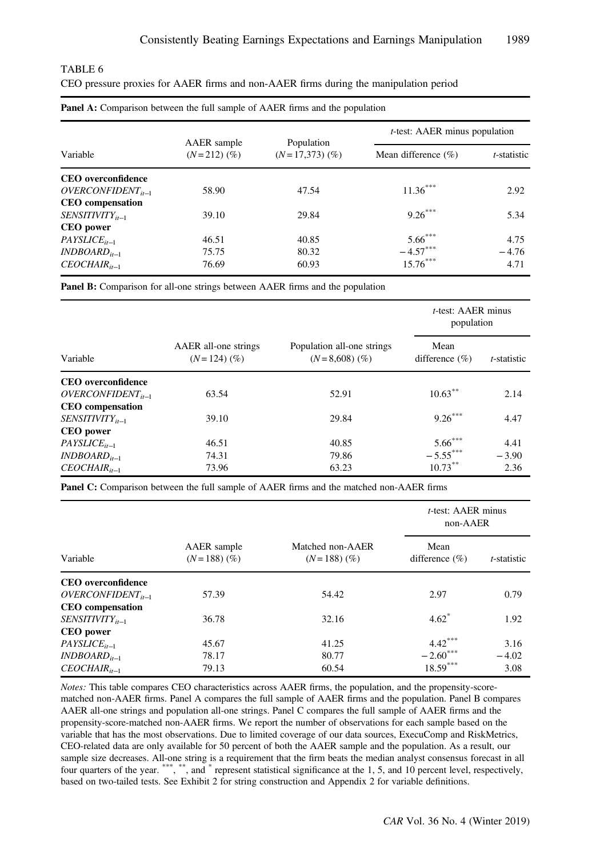|                           |                                 |                                   | <i>t</i> -test: AAER minus population |                |  |
|---------------------------|---------------------------------|-----------------------------------|---------------------------------------|----------------|--|
| Variable                  | AAER sample<br>$(N=212)$ $(\%)$ | Population<br>$(N=17,373)$ $(\%)$ | Mean difference $(\% )$               | $t$ -statistic |  |
| <b>CEO</b> overconfidence |                                 |                                   |                                       |                |  |
| $OVERCONFIDENT_{i-1}$     | 58.90                           | 47.54                             | $11.36***$                            | 2.92           |  |
| <b>CEO</b> compensation   |                                 |                                   |                                       |                |  |
| $SENSITIVITY_{it-1}$      | 39.10                           | 29.84                             | $9.26***$                             | 5.34           |  |
| CEO power                 |                                 |                                   |                                       |                |  |
| $PAYSLICE_{it-1}$         | 46.51                           | 40.85                             | $5.66***$                             | 4.75           |  |
| $INDBOARD_{it-1}$         | 75.75                           | 80.32                             | $-4.57***$                            | $-4.76$        |  |
| $CEOCHAIR_{it-1}$         | 76.69                           | 60.93                             | $15.76***$                            | 4.71           |  |

| CEO pressure proxies for AAER firms and non-AAER firms during the manipulation period |  |  |  |  |  |
|---------------------------------------------------------------------------------------|--|--|--|--|--|
|                                                                                       |  |  |  |  |  |

TABLE 6

Panel B: Comparison for all-one strings between AAER firms and the population

|                           |                                          |                                               | $t$ -test: AAER minus<br>population |             |  |
|---------------------------|------------------------------------------|-----------------------------------------------|-------------------------------------|-------------|--|
| Variable                  | AAER all-one strings<br>$(N=124)$ $(\%)$ | Population all-one strings<br>$(N=8,608)$ (%) | Mean<br>difference $(\% )$          | t-statistic |  |
| <b>CEO</b> overconfidence |                                          |                                               |                                     |             |  |
| $OVERCONFIDENT_{it-1}$    | 63.54                                    | 52.91                                         | $10.63***$                          | 2.14        |  |
| <b>CEO</b> compensation   |                                          |                                               |                                     |             |  |
| $SENSITIVITY_{it-1}$      | 39.10                                    | 29.84                                         | $9.26***$                           | 4.47        |  |
| <b>CEO</b> power          |                                          |                                               |                                     |             |  |
| $PAYSLICE_{it-1}$         | 46.51                                    | 40.85                                         | $5.66***$                           | 4.41        |  |
| $INDBOARD_{it-1}$         | 74.31                                    | 79.86                                         | $-5.55$ <sup>***</sup>              | $-3.90$     |  |
| $CEOCHAIR_{it-1}$         | 73.96                                    | 63.23                                         | $10.73***$                          | 2.36        |  |

Panel C: Comparison between the full sample of AAER firms and the matched non-AAER firms

|                           |                                 |                                      | $t$ -test: AAER minus<br>non-AAER |             |
|---------------------------|---------------------------------|--------------------------------------|-----------------------------------|-------------|
| Variable                  | AAER sample<br>$(N=188)$ $(\%)$ | Matched non-AAER<br>$(N=188)$ $(\%)$ | Mean<br>difference $(\% )$        | t-statistic |
| <b>CEO</b> overconfidence |                                 |                                      |                                   |             |
| $OVERCONFIDENT_{it-1}$    | 57.39                           | 54.42                                | 2.97                              | 0.79        |
| <b>CEO</b> compensation   |                                 |                                      |                                   |             |
| $SENSITIVITY_{it-1}$      | 36.78                           | 32.16                                | $4.62*$                           | 1.92        |
| <b>CEO</b> power          |                                 |                                      |                                   |             |
| $PAYSLICE_{it-1}$         | 45.67                           | 41.25                                | $4.42^{\circ}$                    | 3.16        |
| $INDBOARD_{it-1}$         | 78.17                           | 80.77                                | $-2.60$ ***                       | $-4.02$     |
| $CEOCHAIR_{it-1}$         | 79.13                           | 60.54                                | $18.59***$                        | 3.08        |

Notes: This table compares CEO characteristics across AAER firms, the population, and the propensity-scorematched non-AAER firms. Panel A compares the full sample of AAER firms and the population. Panel B compares AAER all-one strings and population all-one strings. Panel C compares the full sample of AAER firms and the propensity-score-matched non-AAER firms. We report the number of observations for each sample based on the variable that has the most observations. Due to limited coverage of our data sources, ExecuComp and RiskMetrics, CEO-related data are only available for 50 percent of both the AAER sample and the population. As a result, our sample size decreases. All-one string is a requirement that the firm beats the median analyst consensus forecast in all four quarters of the year. \*\*\*, \*\*, and \* represent statistical significance at the 1, 5, and 10 percent level, respectively, based on two-tailed tests. See Exhibit 2 for string construction and Appendix 2 for variable definitions.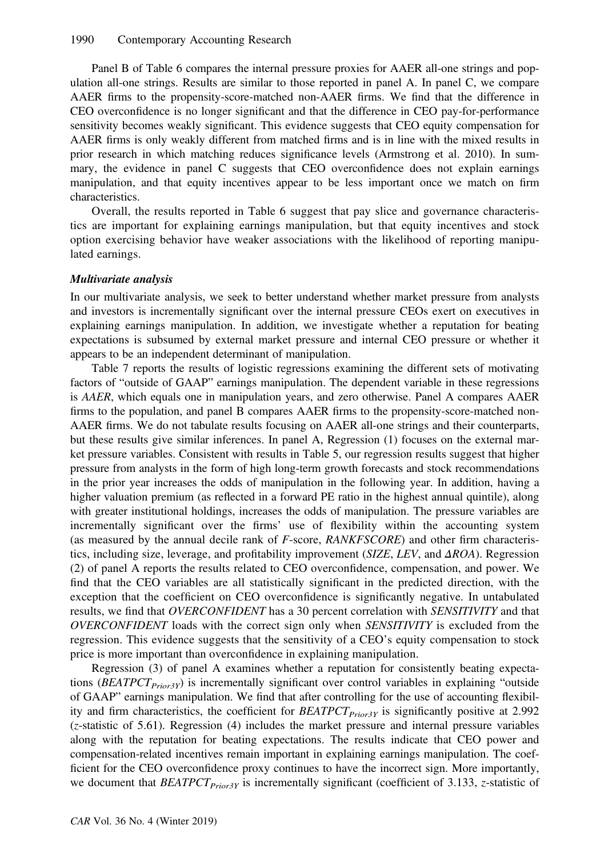Panel B of Table 6 compares the internal pressure proxies for AAER all-one strings and population all-one strings. Results are similar to those reported in panel A. In panel C, we compare AAER firms to the propensity-score-matched non-AAER firms. We find that the difference in CEO overconfidence is no longer significant and that the difference in CEO pay-for-performance sensitivity becomes weakly significant. This evidence suggests that CEO equity compensation for AAER firms is only weakly different from matched firms and is in line with the mixed results in prior research in which matching reduces significance levels (Armstrong et al. 2010). In summary, the evidence in panel C suggests that CEO overconfidence does not explain earnings manipulation, and that equity incentives appear to be less important once we match on firm characteristics.

Overall, the results reported in Table 6 suggest that pay slice and governance characteristics are important for explaining earnings manipulation, but that equity incentives and stock option exercising behavior have weaker associations with the likelihood of reporting manipulated earnings.

#### Multivariate analysis

In our multivariate analysis, we seek to better understand whether market pressure from analysts and investors is incrementally significant over the internal pressure CEOs exert on executives in explaining earnings manipulation. In addition, we investigate whether a reputation for beating expectations is subsumed by external market pressure and internal CEO pressure or whether it appears to be an independent determinant of manipulation.

Table 7 reports the results of logistic regressions examining the different sets of motivating factors of "outside of GAAP" earnings manipulation. The dependent variable in these regressions is AAER, which equals one in manipulation years, and zero otherwise. Panel A compares AAER firms to the population, and panel B compares AAER firms to the propensity-score-matched non-AAER firms. We do not tabulate results focusing on AAER all-one strings and their counterparts, but these results give similar inferences. In panel A, Regression (1) focuses on the external market pressure variables. Consistent with results in Table 5, our regression results suggest that higher pressure from analysts in the form of high long-term growth forecasts and stock recommendations in the prior year increases the odds of manipulation in the following year. In addition, having a higher valuation premium (as reflected in a forward PE ratio in the highest annual quintile), along with greater institutional holdings, increases the odds of manipulation. The pressure variables are incrementally significant over the firms' use of flexibility within the accounting system (as measured by the annual decile rank of F-score, RANKFSCORE) and other firm characteristics, including size, leverage, and profitability improvement (SIZE, LEV, and  $\Delta ROA$ ). Regression (2) of panel A reports the results related to CEO overconfidence, compensation, and power. We find that the CEO variables are all statistically significant in the predicted direction, with the exception that the coefficient on CEO overconfidence is significantly negative. In untabulated results, we find that *OVERCONFIDENT* has a 30 percent correlation with *SENSITIVITY* and that OVERCONFIDENT loads with the correct sign only when SENSITIVITY is excluded from the regression. This evidence suggests that the sensitivity of a CEO's equity compensation to stock price is more important than overconfidence in explaining manipulation.

Regression (3) of panel A examines whether a reputation for consistently beating expectations ( $BEATPCT<sub>Prior3Y</sub>$ ) is incrementally significant over control variables in explaining "outside of GAAP" earnings manipulation. We find that after controlling for the use of accounting flexibility and firm characteristics, the coefficient for  $BEATPCT_{Prior3Y}$  is significantly positive at 2.992 (z-statistic of 5.61). Regression (4) includes the market pressure and internal pressure variables along with the reputation for beating expectations. The results indicate that CEO power and compensation-related incentives remain important in explaining earnings manipulation. The coefficient for the CEO overconfidence proxy continues to have the incorrect sign. More importantly, we document that  $BEATPCT_{Prior3Y}$  is incrementally significant (coefficient of 3.133, z-statistic of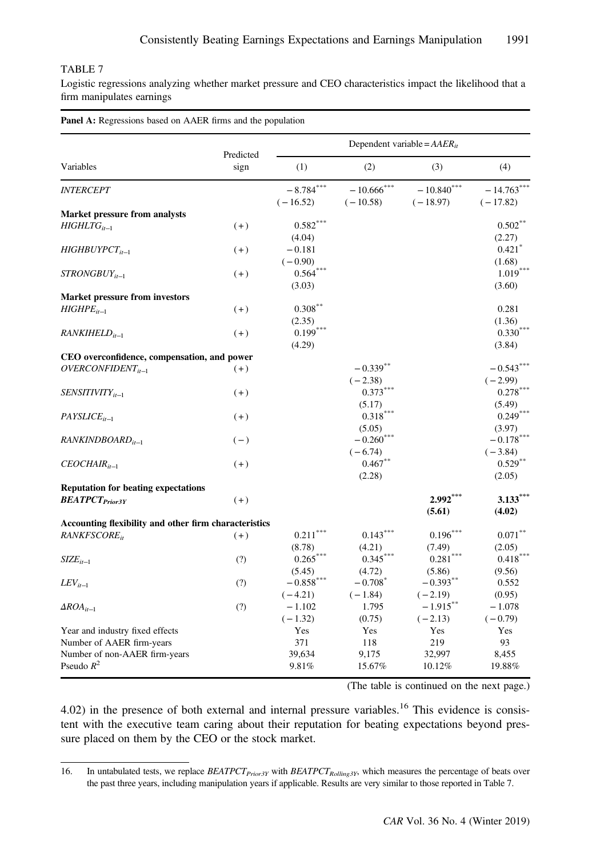### TABLE 7

Logistic regressions analyzing whether market pressure and CEO characteristics impact the likelihood that a firm manipulates earnings

|                                                       |                   |             |                          | Dependent variable = $AAER_{it}$ |                      |
|-------------------------------------------------------|-------------------|-------------|--------------------------|----------------------------------|----------------------|
| Variables                                             | Predicted<br>sign | (1)         | (2)                      | (3)                              | (4)                  |
| <b>INTERCEPT</b>                                      |                   | $-8.784***$ | $-10.666$ <sup>***</sup> | $-10.840$ ***                    | $-14.763***$         |
|                                                       |                   | $(-16.52)$  | $(-10.58)$               | $(-18.97)$                       | $(-17.82)$           |
| <b>Market pressure from analysts</b>                  |                   |             |                          |                                  |                      |
| $HIGHLTG_{it-1}$                                      | $(+)$             | $0.582***$  |                          |                                  | $0.502**$            |
|                                                       |                   | (4.04)      |                          |                                  | (2.27)               |
| $HIGHBUYPCT_{it-1}$                                   | $(+)$             | $-0.181$    |                          |                                  | $0.421$ <sup>*</sup> |
|                                                       |                   | $(-0.90)$   |                          |                                  | (1.68)               |
| $STRONGBUY_{it-1}$                                    | $(+)$             | $0.564$ *   |                          |                                  | $1.019***$           |
|                                                       |                   | (3.03)      |                          |                                  | (3.60)               |
| Market pressure from investors                        |                   |             |                          |                                  |                      |
| $HIGHPE_{it-1}$                                       | $(+)$             | $0.308***$  |                          |                                  | 0.281                |
|                                                       |                   | (2.35)      |                          |                                  | (1.36)               |
| RANKIHELD <sub>it-1</sub>                             | $(+)$             | $0.199***$  |                          |                                  | $0.330***$           |
|                                                       |                   | (4.29)      |                          |                                  | (3.84)               |
| CEO overconfidence, compensation, and power           |                   |             |                          |                                  |                      |
| $OVERCONFIDENT_{it-1}$                                | $(+)$             |             | $-0.339$ <sup>**</sup>   |                                  | $-0.543***$          |
|                                                       |                   |             | $(-2.38)$                |                                  | $(-2.99)$            |
| SENSITIVITY <sub>it-1</sub>                           | $(+)$             |             | 0.373                    |                                  | 0.278                |
|                                                       |                   |             | (5.17)                   |                                  | (5.49)               |
| $PAYSLICE_{it-1}$                                     | $(+)$             |             | $0.318***$               |                                  | $0.249***$           |
|                                                       |                   |             | (5.05)                   |                                  | (3.97)               |
| RANKINDBOARD <sub>it-1</sub>                          | $(-)$             |             | $-0.260$ <sup>**</sup>   |                                  | $-0.178$ **          |
|                                                       |                   |             | $(-6.74)$                |                                  | $(-3.84)$            |
| $CEOCHAIR_{it-1}$                                     | $(+)$             |             | $0.467***$               |                                  | $0.529***$           |
|                                                       |                   |             | (2.28)                   |                                  | (2.05)               |
| <b>Reputation for beating expectations</b>            |                   |             |                          |                                  |                      |
| <b>BEATPCT</b> <sub>Prior3Y</sub>                     | $(+)$             |             |                          | $2.992***$                       | $3.133***$           |
|                                                       |                   |             |                          | (5.61)                           | (4.02)               |
| Accounting flexibility and other firm characteristics |                   |             |                          |                                  |                      |
| <b>RANKFSCORE</b> <sub>it</sub>                       | $(+)$             | $0.211***$  | $0.143***$               | $0.196***$                       | $0.071***$           |
|                                                       |                   | (8.78)      | (4.21)                   | (7.49)                           | (2.05)               |
| $SIZE_{it-1}$                                         | (?)               | $0.265***$  | 0.345                    | 0.281                            | 0.418                |
|                                                       |                   | (5.45)      | (4.72)                   | (5.86)                           | (9.56)               |
| $LEV_{it-1}$                                          | (?)               | $-0.858***$ | $-0.708^*$               | $-0.393**$                       | 0.552                |
|                                                       |                   | $(-4.21)$   | $(-1.84)$                | $(-2.19)$                        | (0.95)               |
| $\triangle ROA_{it-1}$                                | (?)               | $-1.102$    | 1.795                    | $-1.915***$                      | $-1.078$             |
|                                                       |                   | $(-1.32)$   | (0.75)                   | $(-2.13)$                        | $(-0.79)$            |
| Year and industry fixed effects                       |                   | Yes         | Yes                      | Yes                              | Yes                  |
| Number of AAER firm-years                             |                   | 371         | 118                      | 219                              | 93                   |
| Number of non-AAER firm-years                         |                   | 39,634      | 9,175                    | 32,997                           | 8,455                |
| Pseudo $R^2$                                          |                   | 9.81%       | 15.67%                   | 10.12%                           | 19.88%               |

(The table is continued on the next page.)

 $4.02$ ) in the presence of both external and internal pressure variables.<sup>16</sup> This evidence is consistent with the executive team caring about their reputation for beating expectations beyond pressure placed on them by the CEO or the stock market.

<sup>16.</sup> In untabulated tests, we replace BEATPCT<sub>Prior3Y</sub> with BEATPCT<sub>Rolling3Y</sub>, which measures the percentage of beats over the past three years, including manipulation years if applicable. Results are very similar to those reported in Table 7.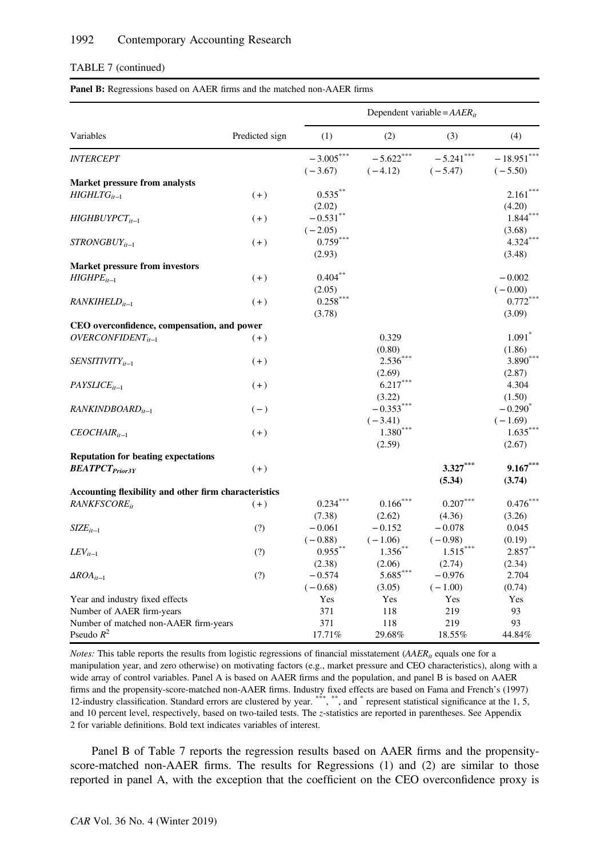#### TABLE 7 (continued)

Panel B: Regressions based on AAER firms and the matched non-AAER firms

|                                                       |                | Dependent variable = $AAER_{it}$ |                 |             |                      |
|-------------------------------------------------------|----------------|----------------------------------|-----------------|-------------|----------------------|
| Variables                                             | Predicted sign | (1)                              | (2)             | (3)         | (4)                  |
| <b>INTERCEPT</b>                                      |                | $-3.005***$                      | $-5.622***$     | $-5.241***$ | $-18.951***$         |
|                                                       |                | $(-3.67)$                        | $(-4.12)$       | $(-5.47)$   | $(-5.50)$            |
| Market pressure from analysts                         |                |                                  |                 |             |                      |
| $HIGHTG_{it-1}$                                       | $(+)$          | $0.535***$                       |                 |             | $2.161***$           |
|                                                       |                | (2.02)                           |                 |             | (4.20)               |
| $HIGHBUYPCT_{i-1}$                                    | $(+)$          | $-0.531$ **                      |                 |             | $1.844***$           |
|                                                       |                | $(-2.05)$                        |                 |             | (3.68)               |
| $STRONGBUY_{it-1}$                                    | $(+)$          | $0.759***$                       |                 |             | $4.324***$           |
|                                                       |                | (2.93)                           |                 |             | (3.48)               |
| Market pressure from investors                        |                |                                  |                 |             |                      |
| $HIGHPE_{it-1}$                                       | $(+)$          | $0.404***$                       |                 |             | $-0.002$             |
|                                                       |                | (2.05)                           |                 |             | $(-0.00)$            |
| $RANKIHELD_{it-1}$                                    | $(+)$          | $0.258***$                       |                 |             | $0.772$ <sup>*</sup> |
|                                                       |                | (3.78)                           |                 |             | (3.09)               |
| CEO overconfidence, compensation, and power           |                |                                  |                 |             |                      |
| $OVERCONFIDENT_{it-1}$                                | $(+)$          |                                  | 0.329           |             | $1.091*$             |
|                                                       |                |                                  | (0.80)          |             | (1.86)               |
| $SENSITIVITY_{it-1}$                                  | $(+)$          |                                  | 2.536           |             | $3.890***$           |
|                                                       |                |                                  | (2.69)          |             | (2.87)               |
| $PAYSLICE_{it-1}$                                     | $(+)$          |                                  | 6.217           |             | 4.304                |
|                                                       |                |                                  | (3.22)          |             | (1.50)               |
| $RANKINDBOARD_{it-1}$                                 | $(-)$          |                                  | $-0.353***$     |             | $-0.290^*$           |
|                                                       |                |                                  | $(-3.41)$       |             | $(-1.69)$            |
| $CEOCHAIR_{it-1}$                                     | $(+)$          |                                  | $1.380***$      |             | $1.635***$           |
|                                                       |                |                                  | (2.59)          |             | (2.67)               |
| <b>Reputation for beating expectations</b>            |                |                                  |                 |             |                      |
| <b>BEATPCT</b> Prior3Y                                | $(+)$          |                                  |                 | $3.327***$  | $9.167***$           |
|                                                       |                |                                  |                 | (5.34)      | (3.74)               |
| Accounting flexibility and other firm characteristics |                |                                  |                 |             |                      |
| RANKFSCORE <sub>it</sub>                              | $(+)$          | $0.234***$                       | $0.166^{\circ}$ | $0.207***$  | $0.476**$            |
|                                                       |                | (7.38)                           | (2.62)          | (4.36)      | (3.26)               |
| $SIZE_{it-1}$                                         | (?)            | $-0.061$                         | $-0.152$        | $-0.078$    | 0.045                |
|                                                       |                | $(-0.88)$                        | $(-1.06)$       | $(-0.98)$   | (0.19)               |
| $LEV_{it-1}$                                          | (?)            | $0.955***$                       | $1.356***$      | $1.515***$  | $2.857***$           |
|                                                       |                | (2.38)                           | (2.06)          | (2.74)      | (2.34)               |
| $\triangle ROA_{it-1}$                                | (?)            | $-0.574$                         | $5.685***$      | $-0.976$    | 2.704                |
|                                                       |                | $(-0.68)$                        | (3.05)          | $(-1.00)$   | (0.74)               |
|                                                       |                |                                  | Yes             |             |                      |
| Year and industry fixed effects                       |                | Yes<br>371                       |                 | Yes         | Yes<br>93            |
| Number of AAER firm-years                             |                |                                  | 118             | 219         |                      |
| Number of matched non-AAER firm-years                 |                | 371                              | 118             | 219         | 93                   |
| Pseudo $R^2$                                          |                | 17.71%                           | 29.68%          | 18.55%      | 44.84%               |

*Notes:* This table reports the results from logistic regressions of financial misstatement  $(AAER_{it}$  equals one for a manipulation year, and zero otherwise) on motivating factors (e.g., market pressure and CEO characteristics), along with a wide array of control variables. Panel A is based on AAER firms and the population, and panel B is based on AAER firms and the propensity-score-matched non-AAER firms. Industry fixed effects are based on Fama and French's (1997) 12-industry classification. Standard errors are clustered by year. \*\*\*, \*\*, and \* represent statistical significance at the 1, 5, and 10 percent level, respectively, based on two-tailed tests. The z-statistics are reported in parentheses. See Appendix 2 for variable definitions. Bold text indicates variables of interest.

Panel B of Table 7 reports the regression results based on AAER firms and the propensityscore-matched non-AAER firms. The results for Regressions (1) and (2) are similar to those reported in panel A, with the exception that the coefficient on the CEO overconfidence proxy is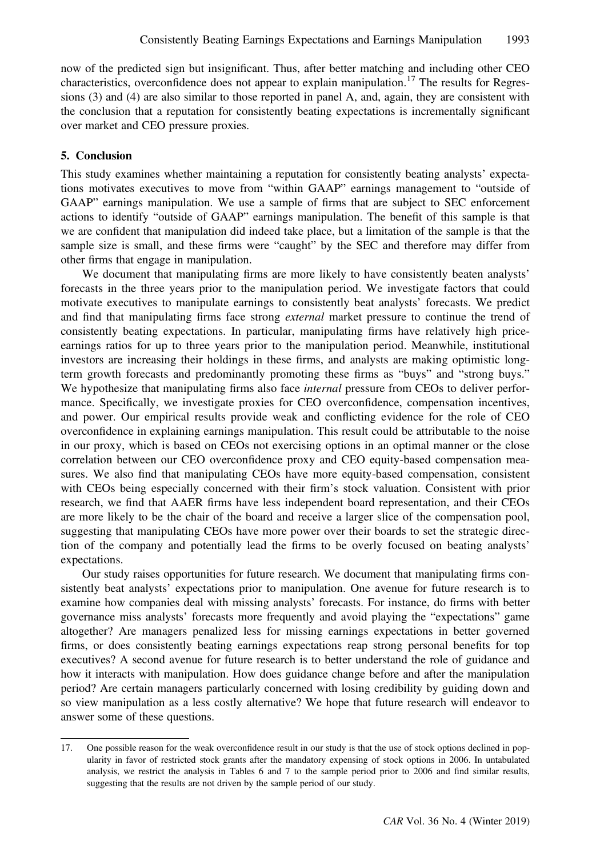now of the predicted sign but insignificant. Thus, after better matching and including other CEO characteristics, overconfidence does not appear to explain manipulation.<sup>17</sup> The results for Regressions (3) and (4) are also similar to those reported in panel A, and, again, they are consistent with the conclusion that a reputation for consistently beating expectations is incrementally significant over market and CEO pressure proxies.

#### 5. Conclusion

This study examines whether maintaining a reputation for consistently beating analysts' expectations motivates executives to move from "within GAAP" earnings management to "outside of GAAP" earnings manipulation. We use a sample of firms that are subject to SEC enforcement actions to identify "outside of GAAP" earnings manipulation. The benefit of this sample is that we are confident that manipulation did indeed take place, but a limitation of the sample is that the sample size is small, and these firms were "caught" by the SEC and therefore may differ from other firms that engage in manipulation.

We document that manipulating firms are more likely to have consistently beaten analysts' forecasts in the three years prior to the manipulation period. We investigate factors that could motivate executives to manipulate earnings to consistently beat analysts' forecasts. We predict and find that manipulating firms face strong *external* market pressure to continue the trend of consistently beating expectations. In particular, manipulating firms have relatively high priceearnings ratios for up to three years prior to the manipulation period. Meanwhile, institutional investors are increasing their holdings in these firms, and analysts are making optimistic longterm growth forecasts and predominantly promoting these firms as "buys" and "strong buys." We hypothesize that manipulating firms also face *internal* pressure from CEOs to deliver performance. Specifically, we investigate proxies for CEO overconfidence, compensation incentives, and power. Our empirical results provide weak and conflicting evidence for the role of CEO overconfidence in explaining earnings manipulation. This result could be attributable to the noise in our proxy, which is based on CEOs not exercising options in an optimal manner or the close correlation between our CEO overconfidence proxy and CEO equity-based compensation measures. We also find that manipulating CEOs have more equity-based compensation, consistent with CEOs being especially concerned with their firm's stock valuation. Consistent with prior research, we find that AAER firms have less independent board representation, and their CEOs are more likely to be the chair of the board and receive a larger slice of the compensation pool, suggesting that manipulating CEOs have more power over their boards to set the strategic direction of the company and potentially lead the firms to be overly focused on beating analysts' expectations.

Our study raises opportunities for future research. We document that manipulating firms consistently beat analysts' expectations prior to manipulation. One avenue for future research is to examine how companies deal with missing analysts' forecasts. For instance, do firms with better governance miss analysts' forecasts more frequently and avoid playing the "expectations" game altogether? Are managers penalized less for missing earnings expectations in better governed firms, or does consistently beating earnings expectations reap strong personal benefits for top executives? A second avenue for future research is to better understand the role of guidance and how it interacts with manipulation. How does guidance change before and after the manipulation period? Are certain managers particularly concerned with losing credibility by guiding down and so view manipulation as a less costly alternative? We hope that future research will endeavor to answer some of these questions.

<sup>17.</sup> One possible reason for the weak overconfidence result in our study is that the use of stock options declined in popularity in favor of restricted stock grants after the mandatory expensing of stock options in 2006. In untabulated analysis, we restrict the analysis in Tables 6 and 7 to the sample period prior to 2006 and find similar results, suggesting that the results are not driven by the sample period of our study.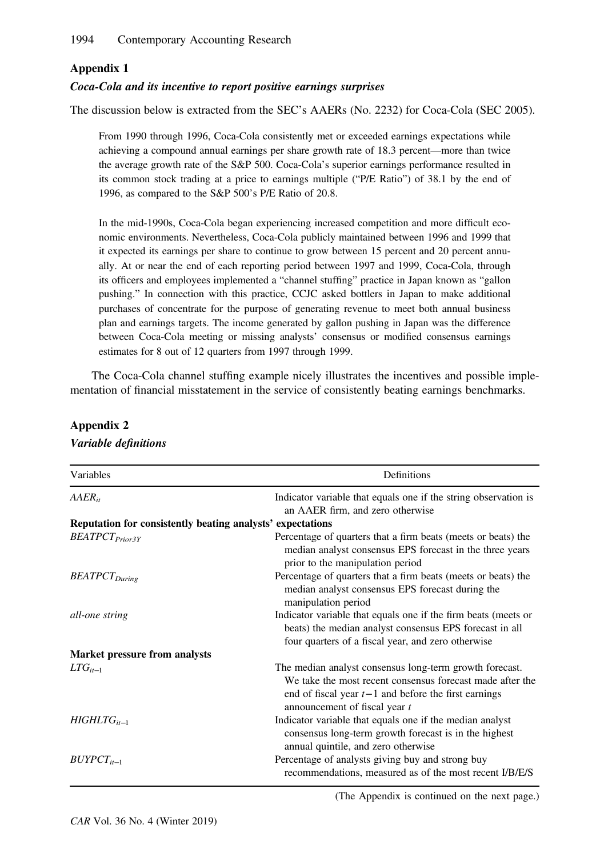# Appendix 1

# Coca-Cola and its incentive to report positive earnings surprises

The discussion below is extracted from the SEC's AAERs (No. 2232) for Coca-Cola (SEC 2005).

From 1990 through 1996, Coca-Cola consistently met or exceeded earnings expectations while achieving a compound annual earnings per share growth rate of 18.3 percent—more than twice the average growth rate of the S&P 500. Coca-Cola's superior earnings performance resulted in its common stock trading at a price to earnings multiple ("P/E Ratio") of 38.1 by the end of 1996, as compared to the S&P 500's P/E Ratio of 20.8.

In the mid-1990s, Coca-Cola began experiencing increased competition and more difficult economic environments. Nevertheless, Coca-Cola publicly maintained between 1996 and 1999 that it expected its earnings per share to continue to grow between 15 percent and 20 percent annually. At or near the end of each reporting period between 1997 and 1999, Coca-Cola, through its officers and employees implemented a "channel stuffing" practice in Japan known as "gallon pushing." In connection with this practice, CCJC asked bottlers in Japan to make additional purchases of concentrate for the purpose of generating revenue to meet both annual business plan and earnings targets. The income generated by gallon pushing in Japan was the difference between Coca-Cola meeting or missing analysts' consensus or modified consensus earnings estimates for 8 out of 12 quarters from 1997 through 1999.

The Coca-Cola channel stuffing example nicely illustrates the incentives and possible implementation of financial misstatement in the service of consistently beating earnings benchmarks.

| Variables                                                  | Definitions                                                                                                                                                                                                     |
|------------------------------------------------------------|-----------------------------------------------------------------------------------------------------------------------------------------------------------------------------------------------------------------|
| $AAER_{it}$                                                | Indicator variable that equals one if the string observation is<br>an AAER firm, and zero otherwise                                                                                                             |
| Reputation for consistently beating analysts' expectations |                                                                                                                                                                                                                 |
| BEATPCT <sub>Prior3Y</sub>                                 | Percentage of quarters that a firm beats (meets or beats) the<br>median analyst consensus EPS forecast in the three years<br>prior to the manipulation period                                                   |
| <b>BEATPCT</b> During                                      | Percentage of quarters that a firm beats (meets or beats) the<br>median analyst consensus EPS forecast during the<br>manipulation period                                                                        |
| all-one string                                             | Indicator variable that equals one if the firm beats (meets or<br>beats) the median analyst consensus EPS forecast in all<br>four quarters of a fiscal year, and zero otherwise                                 |
| <b>Market pressure from analysts</b>                       |                                                                                                                                                                                                                 |
| $LTG_{it-1}$                                               | The median analyst consensus long-term growth forecast.<br>We take the most recent consensus forecast made after the<br>end of fiscal year $t-1$ and before the first earnings<br>announcement of fiscal year t |
| $HIGHTG_{it-1}$                                            | Indicator variable that equals one if the median analyst<br>consensus long-term growth forecast is in the highest<br>annual quintile, and zero otherwise                                                        |
| $BUYPCT_{it-1}$                                            | Percentage of analysts giving buy and strong buy<br>recommendations, measured as of the most recent I/B/E/S                                                                                                     |

# Appendix 2 Variable definitions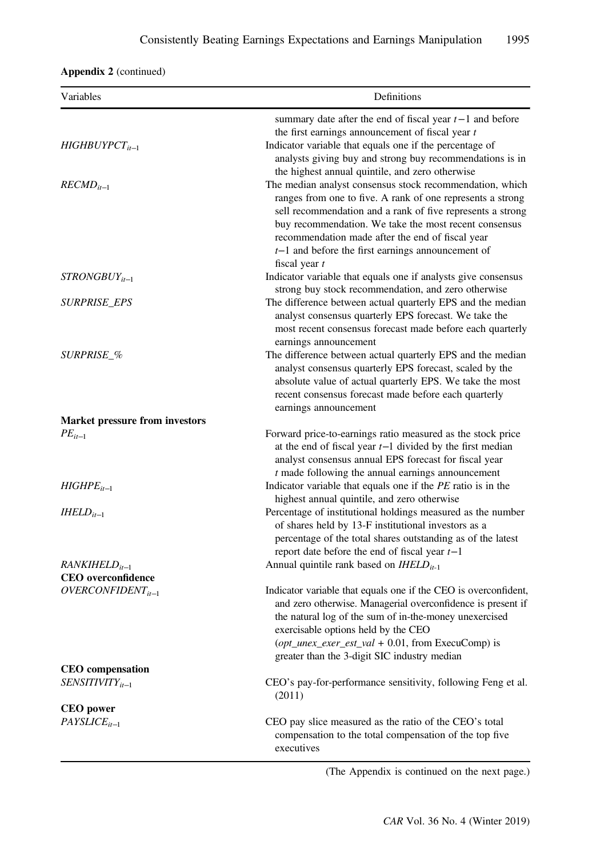# Appendix 2 (continued)

| Variables                             | Definitions                                                                                                                                                                                                                                                                                                                                                                 |
|---------------------------------------|-----------------------------------------------------------------------------------------------------------------------------------------------------------------------------------------------------------------------------------------------------------------------------------------------------------------------------------------------------------------------------|
|                                       | summary date after the end of fiscal year $t-1$ and before<br>the first earnings announcement of fiscal year $t$                                                                                                                                                                                                                                                            |
| $HIGHBUYPCT_{it-1}$                   | Indicator variable that equals one if the percentage of<br>analysts giving buy and strong buy recommendations is in<br>the highest annual quintile, and zero otherwise                                                                                                                                                                                                      |
| $RECMD_{it-1}$                        | The median analyst consensus stock recommendation, which<br>ranges from one to five. A rank of one represents a strong<br>sell recommendation and a rank of five represents a strong<br>buy recommendation. We take the most recent consensus<br>recommendation made after the end of fiscal year<br>$t-1$ and before the first earnings announcement of<br>fiscal year $t$ |
| $STRONGBUY_{it-1}$                    | Indicator variable that equals one if analysts give consensus<br>strong buy stock recommendation, and zero otherwise                                                                                                                                                                                                                                                        |
| <i>SURPRISE_EPS</i>                   | The difference between actual quarterly EPS and the median<br>analyst consensus quarterly EPS forecast. We take the<br>most recent consensus forecast made before each quarterly<br>earnings announcement                                                                                                                                                                   |
| SURPRISE_%                            | The difference between actual quarterly EPS and the median<br>analyst consensus quarterly EPS forecast, scaled by the<br>absolute value of actual quarterly EPS. We take the most<br>recent consensus forecast made before each quarterly<br>earnings announcement                                                                                                          |
| <b>Market pressure from investors</b> |                                                                                                                                                                                                                                                                                                                                                                             |
| $PE_{it-1}$                           | Forward price-to-earnings ratio measured as the stock price<br>at the end of fiscal year $t-1$ divided by the first median<br>analyst consensus annual EPS forecast for fiscal year<br>$t$ made following the annual earnings announcement                                                                                                                                  |
| $HIGHPE_{it-1}$                       | Indicator variable that equals one if the $PE$ ratio is in the<br>highest annual quintile, and zero otherwise                                                                                                                                                                                                                                                               |
| $IHELD_{it-1}$                        | Percentage of institutional holdings measured as the number<br>of shares held by 13-F institutional investors as a<br>percentage of the total shares outstanding as of the latest<br>report date before the end of fiscal year $t-1$                                                                                                                                        |
| $RANKIHELD_{it-1}$                    | Annual quintile rank based on $IHELD_{it-1}$                                                                                                                                                                                                                                                                                                                                |
| <b>CEO</b> overconfidence             |                                                                                                                                                                                                                                                                                                                                                                             |
| $OVERCONFIDENT_{it-1}$                | Indicator variable that equals one if the CEO is overconfident,<br>and zero otherwise. Managerial overconfidence is present if<br>the natural log of the sum of in-the-money unexercised<br>exercisable options held by the CEO<br>(opt_unex_exer_est_val + 0.01, from ExecuComp) is                                                                                        |
| <b>CEO</b> compensation               | greater than the 3-digit SIC industry median                                                                                                                                                                                                                                                                                                                                |
| $SENSITIVITY_{it-1}$                  | CEO's pay-for-performance sensitivity, following Feng et al.<br>(2011)                                                                                                                                                                                                                                                                                                      |
| <b>CEO</b> power                      |                                                                                                                                                                                                                                                                                                                                                                             |
| $PAYSLICE_{it-1}$                     | CEO pay slice measured as the ratio of the CEO's total<br>compensation to the total compensation of the top five<br>executives                                                                                                                                                                                                                                              |

(The Appendix is continued on the next page.)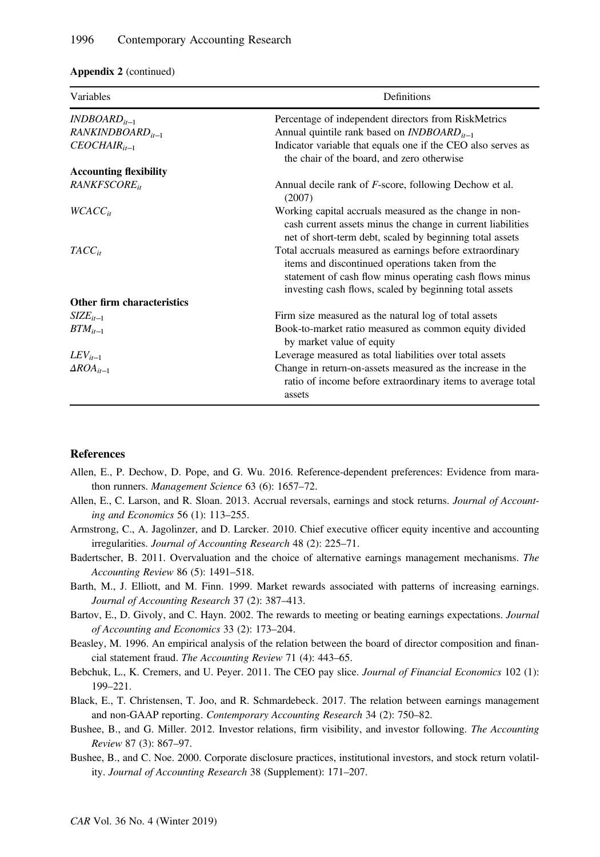|  |  |  |  | <b>Appendix 2</b> (continued) |  |
|--|--|--|--|-------------------------------|--|
|--|--|--|--|-------------------------------|--|

| Variables                     | Definitions                                                                                                                                                                                                                       |
|-------------------------------|-----------------------------------------------------------------------------------------------------------------------------------------------------------------------------------------------------------------------------------|
| $INDBOARD_{it-1}$             | Percentage of independent directors from RiskMetrics                                                                                                                                                                              |
| $RANKINDBOARD_{it-1}$         | Annual quintile rank based on $INDBORD_{it-1}$                                                                                                                                                                                    |
| $CEOCHAIR_{it-1}$             | Indicator variable that equals one if the CEO also serves as<br>the chair of the board, and zero otherwise                                                                                                                        |
| <b>Accounting flexibility</b> |                                                                                                                                                                                                                                   |
| RANKFSCORE <sub>it</sub>      | Annual decile rank of <i>F</i> -score, following Dechow et al.<br>(2007)                                                                                                                                                          |
| $WCACC_{it}$                  | Working capital accruals measured as the change in non-<br>cash current assets minus the change in current liabilities<br>net of short-term debt, scaled by beginning total assets                                                |
| $TACC_{it}$                   | Total accruals measured as earnings before extraordinary<br>items and discontinued operations taken from the<br>statement of cash flow minus operating cash flows minus<br>investing cash flows, scaled by beginning total assets |
| Other firm characteristics    |                                                                                                                                                                                                                                   |
| $SIZE_{it-1}$                 | Firm size measured as the natural log of total assets                                                                                                                                                                             |
| $BTM_{it-1}$                  | Book-to-market ratio measured as common equity divided<br>by market value of equity                                                                                                                                               |
| $LEV_{it-1}$                  | Leverage measured as total liabilities over total assets                                                                                                                                                                          |
| $\triangle ROA_{it-1}$        | Change in return-on-assets measured as the increase in the<br>ratio of income before extraordinary items to average total<br>assets                                                                                               |

#### References

- Allen, E., P. Dechow, D. Pope, and G. Wu. 2016. Reference-dependent preferences: Evidence from marathon runners. Management Science 63 (6): 1657-72.
- Allen, E., C. Larson, and R. Sloan. 2013. Accrual reversals, earnings and stock returns. Journal of Accounting and Economics 56 (1): 113–255.
- Armstrong, C., A. Jagolinzer, and D. Larcker. 2010. Chief executive officer equity incentive and accounting irregularities. Journal of Accounting Research 48 (2): 225–71.
- Badertscher, B. 2011. Overvaluation and the choice of alternative earnings management mechanisms. The Accounting Review 86 (5): 1491–518.
- Barth, M., J. Elliott, and M. Finn. 1999. Market rewards associated with patterns of increasing earnings. Journal of Accounting Research 37 (2): 387–413.
- Bartov, E., D. Givoly, and C. Hayn. 2002. The rewards to meeting or beating earnings expectations. Journal of Accounting and Economics 33 (2): 173–204.
- Beasley, M. 1996. An empirical analysis of the relation between the board of director composition and financial statement fraud. The Accounting Review 71 (4): 443–65.
- Bebchuk, L., K. Cremers, and U. Peyer. 2011. The CEO pay slice. Journal of Financial Economics 102 (1): 199–221.
- Black, E., T. Christensen, T. Joo, and R. Schmardebeck. 2017. The relation between earnings management and non-GAAP reporting. Contemporary Accounting Research 34 (2): 750–82.
- Bushee, B., and G. Miller. 2012. Investor relations, firm visibility, and investor following. The Accounting Review 87 (3): 867–97.
- Bushee, B., and C. Noe. 2000. Corporate disclosure practices, institutional investors, and stock return volatility. Journal of Accounting Research 38 (Supplement): 171–207.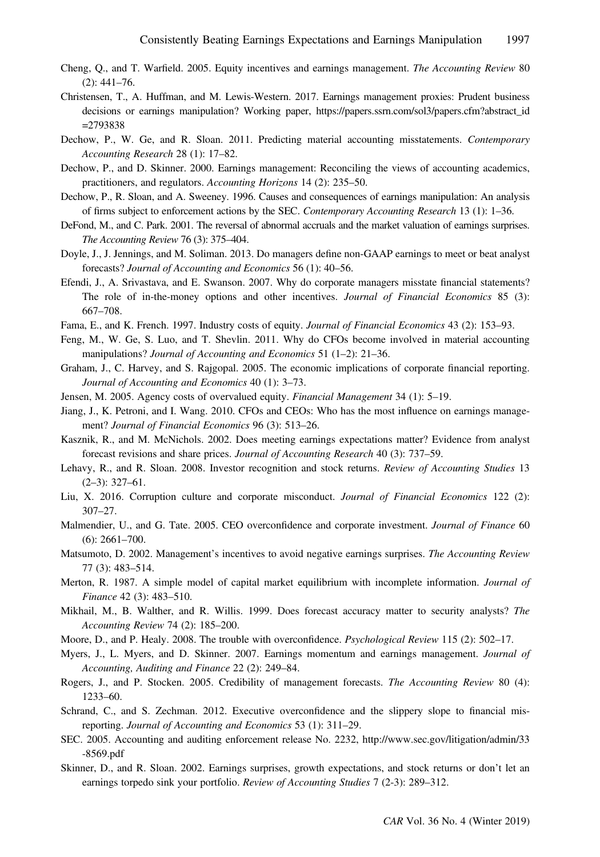- Cheng, Q., and T. Warfield. 2005. Equity incentives and earnings management. The Accounting Review 80 (2): 441–76.
- Christensen, T., A. Huffman, and M. Lewis-Western. 2017. Earnings management proxies: Prudent business decisions or earnings manipulation? Working paper, [https://papers.ssrn.com/sol3/papers.cfm?abstract\\_id](https://papers.ssrn.com/sol3/papers.cfm?abstract_id=2793838) [=2793838](https://papers.ssrn.com/sol3/papers.cfm?abstract_id=2793838)
- Dechow, P., W. Ge, and R. Sloan. 2011. Predicting material accounting misstatements. Contemporary Accounting Research 28 (1): 17–82.
- Dechow, P., and D. Skinner. 2000. Earnings management: Reconciling the views of accounting academics, practitioners, and regulators. Accounting Horizons 14 (2): 235–50.
- Dechow, P., R. Sloan, and A. Sweeney. 1996. Causes and consequences of earnings manipulation: An analysis of firms subject to enforcement actions by the SEC. Contemporary Accounting Research 13 (1): 1–36.
- DeFond, M., and C. Park. 2001. The reversal of abnormal accruals and the market valuation of earnings surprises. The Accounting Review 76 (3): 375–404.
- Doyle, J., J. Jennings, and M. Soliman. 2013. Do managers define non-GAAP earnings to meet or beat analyst forecasts? Journal of Accounting and Economics 56 (1): 40–56.
- Efendi, J., A. Srivastava, and E. Swanson. 2007. Why do corporate managers misstate financial statements? The role of in-the-money options and other incentives. Journal of Financial Economics 85 (3): 667–708.
- Fama, E., and K. French. 1997. Industry costs of equity. Journal of Financial Economics 43 (2): 153–93.
- Feng, M., W. Ge, S. Luo, and T. Shevlin. 2011. Why do CFOs become involved in material accounting manipulations? *Journal of Accounting and Economics* 51 (1–2): 21–36.
- Graham, J., C. Harvey, and S. Rajgopal. 2005. The economic implications of corporate financial reporting. Journal of Accounting and Economics 40 (1): 3–73.
- Jensen, M. 2005. Agency costs of overvalued equity. Financial Management 34 (1): 5–19.

Jiang, J., K. Petroni, and I. Wang. 2010. CFOs and CEOs: Who has the most influence on earnings management? Journal of Financial Economics 96 (3): 513–26.

- Kasznik, R., and M. McNichols. 2002. Does meeting earnings expectations matter? Evidence from analyst forecast revisions and share prices. Journal of Accounting Research 40 (3): 737–59.
- Lehavy, R., and R. Sloan. 2008. Investor recognition and stock returns. Review of Accounting Studies 13  $(2-3)$ : 327-61.
- Liu, X. 2016. Corruption culture and corporate misconduct. *Journal of Financial Economics* 122 (2): 307–27.
- Malmendier, U., and G. Tate. 2005. CEO overconfidence and corporate investment. Journal of Finance 60 (6): 2661–700.
- Matsumoto, D. 2002. Management's incentives to avoid negative earnings surprises. The Accounting Review 77 (3): 483–514.
- Merton, R. 1987. A simple model of capital market equilibrium with incomplete information. Journal of Finance 42 (3): 483–510.
- Mikhail, M., B. Walther, and R. Willis. 1999. Does forecast accuracy matter to security analysts? The Accounting Review 74 (2): 185–200.
- Moore, D., and P. Healy. 2008. The trouble with overconfidence. Psychological Review 115 (2): 502–17.
- Myers, J., L. Myers, and D. Skinner. 2007. Earnings momentum and earnings management. Journal of Accounting, Auditing and Finance 22 (2): 249–84.
- Rogers, J., and P. Stocken. 2005. Credibility of management forecasts. The Accounting Review 80 (4): 1233–60.
- Schrand, C., and S. Zechman. 2012. Executive overconfidence and the slippery slope to financial misreporting. Journal of Accounting and Economics 53 (1): 311–29.
- SEC. 2005. Accounting and auditing enforcement release No. 2232, [http://www.sec.gov/litigation/admin/33](http://www.sec.gov/litigation/admin/33-8569.pdf) [-8569.pdf](http://www.sec.gov/litigation/admin/33-8569.pdf)
- Skinner, D., and R. Sloan. 2002. Earnings surprises, growth expectations, and stock returns or don't let an earnings torpedo sink your portfolio. Review of Accounting Studies 7 (2-3): 289–312.